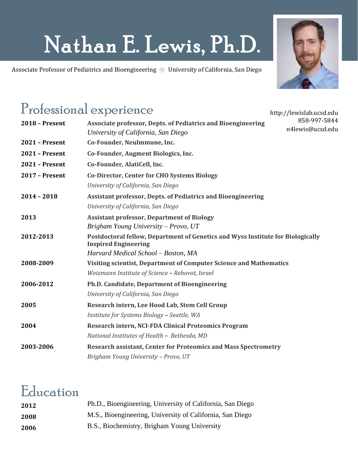# Nathan E. Lewis, Ph.D.

Associate Professor of Pediatrics and Bioengineering @ University of California, San Diego



http://lewislab.ucsd.edu

### Professional experience

| <b>2018 - Present</b> | 858-997-5844<br><b>Associate professor, Depts. of Pediatrics and Bioengineering</b><br>n4lewis@ucsd.edu        |
|-----------------------|----------------------------------------------------------------------------------------------------------------|
|                       | University of California, San Diego                                                                            |
| <b>2021 - Present</b> | Co-Founder, NeuImmune, Inc.                                                                                    |
| <b>2021 - Present</b> | Co-Founder, Augment Biologics, Inc.                                                                            |
| <b>2021 - Present</b> | Co-Founder, AlatiCell, Inc.                                                                                    |
| 2017 - Present        | <b>Co-Director, Center for CHO Systems Biology</b>                                                             |
|                       | University of California, San Diego                                                                            |
| $2014 - 2018$         | <b>Assistant professor, Depts. of Pediatrics and Bioengineering</b>                                            |
|                       | University of California, San Diego                                                                            |
| 2013                  | <b>Assistant professor, Department of Biology</b>                                                              |
|                       | Brigham Young University – Provo, UT                                                                           |
| 2012-2013             | Postdoctoral fellow, Department of Genetics and Wyss Institute for Biologically<br><b>Inspired Engineering</b> |
|                       | Harvard Medical School - Boston, MA                                                                            |
| 2008-2009             | Visiting scientist, Department of Computer Science and Mathematics                                             |
|                       | Weizmann Institute of Science - Rehovot, Israel                                                                |
| 2006-2012             | Ph.D. Candidate, Department of Bioengineering                                                                  |
|                       | University of California, San Diego                                                                            |
| 2005                  | Research intern, Lee Hood Lab, Stem Cell Group                                                                 |
|                       | Institute for Systems Biology - Seattle, WA                                                                    |
| 2004                  | <b>Research intern, NCI-FDA Clinical Proteomics Program</b>                                                    |
|                       | National Institutes of Health - Bethesda, MD                                                                   |
| 2003-2006             | <b>Research assistant, Center for Proteomics and Mass Spectrometry</b>                                         |
|                       | Brigham Young University - Provo, UT                                                                           |
|                       |                                                                                                                |

## Education

| 2012 | Ph.D., Bioengineering, University of California, San Diego |
|------|------------------------------------------------------------|
| 2008 | M.S., Bioengineering, University of California, San Diego  |
| 2006 | B.S., Biochemistry, Brigham Young University               |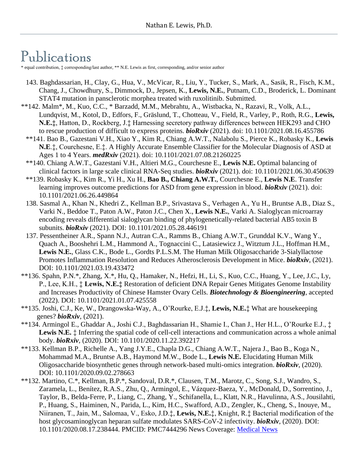### Publications

\* equal contribution, ‡ corresponding/last author, \*\* N.E. Lewis as first, corresponding, and/or senior author

- 143. Baghdassarian, H., Clay, G., Hua, V., McVicar, R., Liu, Y., Tucker, S., Mark, A., Sasik, R., Fisch, K.M., Chang, J., Chowdhury, S., Dimmock, D., Jepsen, K., **Lewis, N.E.**, Putnam, C.D., Broderick, L. Dominant STAT4 mutation in pansclerotic morphea treated with ruxolitinib. Submitted.
- \*\*142. Malm\*, M., Kuo, C.C., \* Barzadd, M.M., Mebrahtu, A., Wistbacka, N., Razavi, R., Volk, A.L., Lundqvist, M., Kotol, D., Edfors, F., Gräslund, T., Chotteau, V., Field, R., Varley, P., Roth, R.G., **Lewis, N.E.‡**, Hatton, D., Rockberg, J.‡ Harnessing secretory pathway differences between HEK293 and CHO to rescue production of difficult to express proteins. *bioRxiv* (2021). doi: 10.1101/2021.08.16.455786
	- \*\*141. Bao B., Gazestani V.H., Xiao Y., Kim R., Chiang A.W.T., Nalabolu S., Pierce K., Robasky K., **Lewis N.E**.‡, Courchesne, E.‡. A Highly Accurate Ensemble Classifier for the Molecular Diagnosis of ASD at Ages 1 to 4 Years. *medRxiv* (2021). doi: 10.1101/2021.07.08.21260225
	- \*\*140. Chiang A.W.T., Gazestani V.H., Altieri M.G., Courchesne E., **Lewis N.E.** Optimal balancing of clinical factors in large scale clinical RNA-Seq studies. *bioRxiv* (2021). doi: 10.1101/2021.06.30.450639
	- \*\*139. Robasky K., Kim R., Yi H., Xu H., **Bao B., Chiang A.W.T.**, Courchesne E., **Lewis N.E**. Transfer learning improves outcome predictions for ASD from gene expression in blood. *bioRxiv* (2021). doi: 10.1101/2021.06.26.449864
	- 138. Sasmal A., Khan N., Khedri Z., Kellman B.P., Srivastava S., Verhagen A., Yu H., Bruntse A.B., Diaz S., Varki N., Beddoe T., Paton A.W., Paton J.C., Chen X., **Lewis N.E.**, Varki A. Sialoglycan microarray encoding reveals differential sialoglycan binding of phylogenetically-related bacterial AB5 toxin B subunits. *bioRxiv* (2021). DOI: 10.1101/2021.05.28.446191
	- 137. Pessentheiner A.R., Spann N.J., Autran C.A., Ramms B., Chiang A.W.T., Grunddal K.V., Wang Y., Quach A., Booshehri L.M., Hammond A., Tognaccini C., Latasiewicz J., Witztum J.L., Hoffman H.M., **Lewis N.E.**, Glass C.K., Bode L., Gordts P.L.S.M. The Human Milk Oligosaccharide 3-Sialyllactose Promotes Inflammation Resolution and Reduces Atherosclerosis Development in Mice. *bioRxiv*, (2021). DOI: 10.1101/2021.03.19.433472
- \*\*136. Spahn, P.N.\*, Zhang, X.\*, Hu, Q., Hamaker, N., Hefzi, H., Li, S., Kuo, C.C., Huang, Y., Lee, J.C., Ly, P., Lee, K.H., ‡ **Lewis, N.E.‡** Restoration of deficient DNA Repair Genes Mitigates Genome Instability and Increases Productivity of Chinese Hamster Ovary Cells. *Biotechnology & Bioengineering*, accepted (2022). DOI: 10.1101/2021.01.07.425558
- \*\*135. Joshi, C.J., Ke, W., Drangowska-Way, A., O'Rourke, E.J.‡, **Lewis, N.E.**‡ What are housekeeping genes? *bioRxiv*, (2021).
- \*\*134. Armingol E., Ghaddar A., Joshi C.J., Baghdassarian H., Shamie I., Chan J., Her H.L., O'Rourke E.J., ‡ Lewis N.E.  $\ddagger$  Inferring the spatial code of cell-cell interactions and communication across a whole animal body. *bioRxiv*, (2020). DOI: 10.1101/2020.11.22.392217
- \*\*133. Kellman B.P., Richelle A., Yang J.Y.E., Chapla D.G., Chiang A.W.T., Najera J., Bao B., Koga N., Mohammad M.A., Bruntse A.B., Haymond M.W., Bode L., **Lewis N.E.** Elucidating Human Milk Oligosaccharide biosynthetic genes through network-based multi-omics integration. *bioRxiv*, (2020). DOI: 10.1101/2020.09.02.278663
- \*\*132. Martino, C.\*, Kellman, B.P.\*, Sandoval, D.R.\*, Clausen, T.M., Marotz, C., Song, S.J., Wandro, S., Zaramela, L., Benítez, R.A.S., Zhu, Q., Armingol, E., Vázquez-Baeza, Y., McDonald, D., Sorrentino, J., Taylor, B., Belda-Ferre, P., Liang, C., Zhang, Y., Schifanella, L., Klatt, N.R., Havulinna, A.S., Jousilahti, P., Huang, S., Haiminen, N., Parida, L., Kim, H.C., Swafford, A.D., Zengler, K., Cheng, S., Inouye, M., Niiranen, T., Jain, M., Salomaa, V., Esko, J.D.‡, **Lewis, N.E.**‡, Knight, R.‡ Bacterial modification of the host glycosaminoglycan heparan sulfate modulates SARS-CoV-2 infectivity. *bioRxiv*, (2020). DOI: 10.1101/2020.08.17.238444. PMCID: PMC7444296 News Coverage: [Medical News](https://www.news-medical.net/news/20200819/Human-microbiome-trims-mucosal-glycans-influencing-SARS-CoV-2-infection.aspx)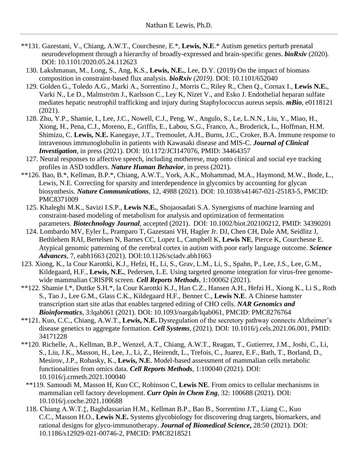- \*\*131. Gazestani, V., Chiang, A.W.T., Courchesne, E.\*, **Lewis, N.E**.\* Autism genetics perturb prenatal neurodevelopment through a hierarchy of broadly-expressed and brain-specific genes. *bioRxiv* (2020)*.* DOI: 10.1101/2020.05.24.112623
	- 130. Lakshmanan, M., Long, S., Ang, K.S., **Lewis, N.E.**, Lee, D.Y. (2019) On the impact of biomass composition in constraint-based flux analysis. *bioRxiv (2019)*. DOI: 10.1101/652040
	- 129. Golden G., Toledo A.G., Marki A., Sorrentino J., Morris C., Riley R., Chen Q., Cornax I., **Lewis N.E.**, Varki N., Le D., Malmström J., Karlsson C., Ley K, Nizet V., and Esko J. Endothelial heparan sulfate mediates hepatic neutrophil trafficking and injury during Staphylococcus aureus sepsis. *mBio*, e0118121 (2021).
	- 128. Zhu, Y.P., Shamie, I., Lee, J.C., Nowell, C.J., Peng, W., Angulo, S., Le, L.N.N., Liu, Y., Miao, H., Xiong, H., Pena, C.J., Moreno, E., Griffis, E., Labou, S.G., Franco, A., Broderick, L., Hoffman, H.M. Shimizu, C. **Lewis, N.E.** Kanegaye, J.T., Tremoulet, A.H., Burns, J.C., Croker, B.A. Immune response to intravenous immunoglobulin in patients with Kawasaki disease and MIS-C. *Journal of Clinical Investigation*, in press (2021). DOI: 10.1172/JCI147076, PMID: 34464357
	- 127. Neural responses to affective speech, including motherese, map onto clinical and social eye tracking profiles in ASD toddlers. *Nature Human Behavior*, in press (2021).
- \*\*126. Bao, B.\*, Kellman, B.P.\*, Chiang, A.W.T., York, A.K., Mohammad, M.A., Haymond, M.W., Bode, L., Lewis, N.E. Correcting for sparsity and interdependence in glycomics by accounting for glycan biosynthesis. *Nature Communications*, 12, 4988 (2021). DOI: 10.1038/s41467-021-25183-5, PMCID: PMC8371009
	- 125. Khaleghi M.K., Savizi I.S.P., **Lewis N.E.**, Shojaosadati S.A. Synergisms of machine learning and constraint-based modeling of metabolism for analysis and optimization of fermentation parameters. *Biotechnology Journal*, accepted (2021). DOI: 10.1002/biot.202100212, PMID: 34390201
	- 124. Lombardo MV, Eyler L, Pramparo T, Gazestani VH, Hagler Jr. DJ, Chen CH, Dale AM, Seidlitz J, Bethlehem RAI, Bertelsen N, Barnes CC, Lopez L, Campbell K, **Lewis NE**, Pierce K, Courchesne E. Atypical genomic patterning of the cerebral cortex in autism with poor early language outcome. *Science Advances*, 7, eabh1663 (2021). DOI:10.1126/sciadv.abh1663
- 123. Xiong, K., la Cour Karottki, K.J., Hefzi, H., Li, S., Grav, L.M., Li, S., Spahn, P., Lee, J.S., Lee, G.M., Kildegaard, H.F., **Lewis, N.E.**, Pedersen, L.E. Using targeted genome integration for virus-free genomewide mammalian CRISPR screen. *Cell Reports Methods*, 1:100062 (2021).
- \*\*122. Shamie I.\*, Duttke S.H.\*, la Cour Karottki K.J., Han C.Z., Hansen A.H., Hefzi H., Xiong K., Li S., Roth S., Tao J., Lee G.M., Glass C.K., Kildegaard H.F., Benner C., **Lewis N.E**. A Chinese hamster transcription start site atlas that enables targeted editing of CHO cells. *NAR Genomics and Bioinformatics*, 3:lqab061 (2021). DOI: 10.1093/nargab/lqab061, PMCID: PMC8276764
- \*\*121. Kuo, C.C., Chiang, A.W.T., **Lewis, N.E.** Dysregulation of the secretory pathway connects Alzheimer's disease genetics to aggregate formation. *Cell Systems*, (2021). DOI: 10.1016/j.cels.2021.06.001, PMID: 34171228
- \*\*120. Richelle, A., Kellman, B.P., Wenzel, A.T., Chiang, A.W.T., Reagan, T., Gutierrez, J.M., Joshi, C., Li, S., Liu, J.K., Masson, H., Lee, J., Li, Z., Heirendt, L., Trefois, C., Juarez, E.F., Bath, T., Borland, D., Mesirov, J.P., Robasky, K., **Lewis, N.E**. Model-based assessment of mammalian cells metabolic functionalities from omics data. *Cell Reports Methods*, 1:100040 (2021). DOI: 10.1016/j.crmeth.2021.100040
	- \*\*119. Samoudi M, Masson H, Kuo CC, Robinson C, **Lewis NE**. From omics to cellular mechanisms in mammalian cell factory development. *Curr Opin in Chem Eng*, 32: 100688 (2021). DOI: 10.1016/j.coche.2021.100688
	- 118. Chiang A.W.T.‡, Baghdassarian H.M., Kellman B.P., Bao B., Sorrentino J.T., Liang C., Kuo C.C., Masson H.O., **Lewis N.E.** Systems glycobiology for discovering drug targets, biomarkers, and rational designs for glyco-immunotherapy. *Journal of Biomedical Science***,** 28:50 (2021). DOI: 10.1186/s12929-021-00746-2, PMCID: PMC8218521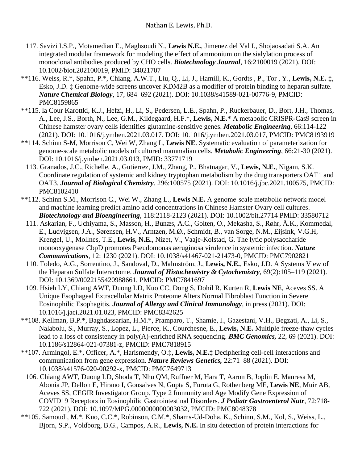- 117. Savizi I.S.P., Motamedian E., Maghsoudi N., **Lewis N.E.**, Jimenez del Val I., Shojaosadati S.A. An integrated modular framework for modeling the effect of ammonium on the sialylation process of monoclonal antibodies produced by CHO cells. *Biotechnology Journal*, 16:2100019 (2021). DOI: 10.1002/biot.202100019, PMID: 34021707
- \*\*116. Weiss, R.\*, Spahn, P.\*, Chiang, A.W.T., Liu, Q., Li, J., Hamill, K., Gordts , P., Tor , Y., **Lewis, N.E. ‡**, Esko, J.D. ‡ Genome-wide screens uncover KDM2B as a modifier of protein binding to heparan sulfate. *Nature Chemical Biology*, 17, 684–692 (2021). DOI: 10.1038/s41589-021-00776-9, PMCID: PMC8159865
- \*\*115. la Cour Karottki, K.J., Hefzi, H., Li, S., Pedersen, L.E., Spahn, P., Ruckerbauer, D., Bort, J.H., Thomas, A., Lee, J.S., Borth, N., Lee, G.M., Kildegaard, H.F.\*, **Lewis, N.E.\*** A metabolic CRISPR-Cas9 screen in Chinese hamster ovary cells identifies glutamine-sensitive genes. *Metabolic Engineering*, 66:114-122 (2021). DOI: 10.1016/j.ymben.2021.03.017. DOI: 10.1016/j.ymben.2021.03.017, PMCID: PMC8193919
- \*\*114. Schinn S-M, Morrison C, Wei W, Zhang L, **Lewis NE**. Systematic evaluation of parameterization for genome-scale metabolic models of cultured mammalian cells. *Metabolic Engineering*, 66:21-30 (2021). DOI: 10.1016/j.ymben.2021.03.013, PMID: 33771719
	- 113. Granados, J.C., Richelle, A., Gutierrez, J.M., Zhang, P., Bhatnagar, V., **Lewis, N.E.**, Nigam, S.K. Coordinate regulation of systemic and kidney tryptophan metabolism by the drug transporters OAT1 and OAT3. *Journal of Biological Chemistry*. 296:100575 (2021). DOI: 10.1016/j.jbc.2021.100575, PMCID: PMC8102410
- \*\*112. Schinn S.M., Morrison C., Wei W., Zhang L., **Lewis N.E.** A genome‐scale metabolic network model and machine learning predict amino acid concentrations in Chinese Hamster Ovary cell cultures. *Biotechnology and Bioengineering*, 118:2118-2123 (2021). DOI: 10.1002/bit.27714 PMID: 33580712
	- 111. Askarian, F., Uchiyama, S., Masson, H., Bunæs, A.C., Golten, O., Mekasha, S., Røhr, Å.K., Kommedal, E., Ludvigsen, J.A., Sørensen, H.V., Arntzen, M.Ø., Schmidt, B., van Sorge, N.M., Eijsink, V.G.H, Krengel, U., Mollnes, T.E., **Lewis, N.E.**, Nizet, V., Vaaje-Kolstad, G. The lytic polysaccharide monooxygenase CbpD promotes Pseudomonas aeruginosa virulence in systemic infection. *Nature Communications*, 12: 1230 (2021). DOI: 10.1038/s41467-021-21473-0, PMCID: PMC7902821
	- 110. Toledo, A.G., Sorrentino, J., Sandoval, D., Malmström, J., **Lewis, N.E.**, Esko, J.D. A Systems View of the Heparan Sulfate Interactome. *Journal of Histochemistry & Cytochemistry,* 69(2):105–119 (2021). DOI: 10.1369/0022155420988661, PMCID: PMC7841697
	- 109. Hsieh LY, Chiang AWT, Duong LD, Kuo CC, Dong S, Dohil R, Kurten R, **Lewis NE**, Aceves SS. A Unique Esophageal Extracellular Matrix Proteome Alters Normal Fibroblast Function in Severe Eosinophilic Esophagitis. *Journal of Allergy and Clinical Immunology*, in press (2021). DOI: 10.1016/j.jaci.2021.01.023, PMCID: PMC8342625
- \*\*108. Kellman, B.P.\*, Baghdassarian, H.M.\*, Pramparo, T., Shamie, I., Gazestani, V.H., Begzati, A., Li, S., Nalabolu, S., Murray, S., Lopez, L., Pierce, K., Courchesne, E., **Lewis, N.E.** Multiple freeze-thaw cycles lead to a loss of consistency in poly(A)-enriched RNA sequencing. *BMC Genomics,* 22, 69 (2021). DOI: 10.1186/s12864-021-07381-z, PMCID: PMC7818915
- \*\*107. Armingol, E.\*, Officer, A.\*, Harismendy, O.‡, **Lewis, N.E.‡** Deciphering cell-cell interactions and communication from gene expression. *Nature Reviews Genetics,* 22:71–88 (2021). DOI: 10.1038/s41576-020-00292-x, PMCID: PMC7649713
- 106. Chiang AWT, Duong LD, Shoda T, Nhu QM, Ruffner M, Hara T, Aaron B, Joplin E, Manresa M, Abonia JP, Dellon E, Hirano I, Gonsalves N, Gupta S, Furuta G, Rothenberg ME, **Lewis NE**, Muir AB, Aceves SS, CEGIR Investigator Group. Type 2 Immunity and Age Modify Gene Expression of COVID19 Receptors in Eosinophilic Gastrointestinal Disorders. *J Pediatr Gastroenterol Nutr*, 72:718- 722 (2021). DOI: 10.1097/MPG.0000000000003032, PMCID: PMC8048378
- \*\*105. Samoudi, M.\*, Kuo, C.C.\*, Robinson, C.M.\*, Shams-Ud-Doha, K., Schinn, S.M., Kol, S., Weiss, L., Bjorn, S.P., Voldborg, B.G., Campos, A.R., **Lewis, N.E.** In situ detection of protein interactions for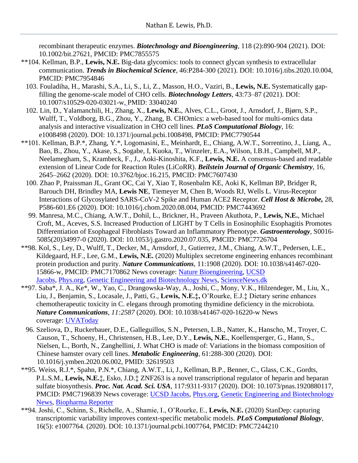recombinant therapeutic enzymes. *Biotechnology and Bioengineering*, 118 (2):890-904 (2021). DOI: 10.1002/bit.27621, PMCID: PMC7855575

- \*\*104. Kellman, B.P., **Lewis, N.E.** Big-data glycomics: tools to connect glycan synthesis to extracellular communication. *Trends in Biochemical Science*, 46:P284-300 (2021). DOI: 10.1016/j.tibs.2020.10.004, PMCID: PMC7954846
	- 103. Fouladiha, H., Marashi, S.A., Li, S., Li, Z., Masson, H.O., Vaziri, B., **Lewis, N.E.** Systematically gapfilling the genome-scale model of CHO cells. *Biotechnology Letters*, 43:73–87 (2021). DOI: 10.1007/s10529-020-03021-w, PMID: 33040240
	- 102. Lin, D., Yalamanchili, H., Zhang, X., **Lewis, N.E.**, Alves, C.L., Groot, J., Arnsdorf, J., Bjørn, S.P., Wulff, T., Voldborg, B.G., Zhou, Y., Zhang, B. CHOmics: a web-based tool for multi-omics data analysis and interactive visualization in CHO cell lines. *PLoS Computational Biology*, 16: e1008498 (2020). DOI: 10.1371/journal.pcbi.1008498, PMCID: PMC7790544
- \*\*101. Kellman, B.P.\*, Zhang, Y.\*, Logomasini, E., Meinhardt, E., Chiang, A.W.T., Sorrentino, J., Liang, A., Bao, B., Zhou, Y., Akase, S., Sogabe, I, Kuoka, T., Winzeler, E.A., Wilson, I.B.H., Campbell, M.P., Neelamegham, S., Krambeck, F., J., Aoki-Kinoshita, K.F., **Lewis, N.E.** A consensus-based and readable extension of Linear Code for Reaction Rules (LiCoRR). *Beilstein Journal of Organic Chemistry*, 16, 2645–2662 (2020). DOI: 10.3762/bjoc.16.215, PMCID: PMC7607430
	- 100. Zhao P, Praissman JL, Grant OC, Cai Y, Xiao T, Rosenbalm KE, Aoki K, Kellman BP, Bridger R, Barouch DH, Brindley MA, **Lewis NE**, Tiemeyer M, Chen B, Woods RJ, Wells L. Virus-Receptor Interactions of Glycosylated SARS-CoV-2 Spike and Human ACE2 Receptor. *Cell Host & Microbe,* 28, P586-601.E6 (2020). DOI: 10.1016/j.chom.2020.08.004, PMCID: PMC7443692
	- 99. Manresa, M.C., Chiang, A.W.T., Dohil, L., Brickner, H., Praveen Akuthota, P., **Lewis, N.E.**, Michael Croft, M., Aceves, S.S. Increased Production of LIGHT by T Cells in Eosinophilic Esophagitis Promotes Differentiation of Esophageal Fibroblasts Toward an Inflammatory Phenotype. *Gastroenterology*, S0016- 5085(20)34997-0 (2020). DOI: 10.1053/j.gastro.2020.07.035, PMCID: PMC7726704
- \*\*98. Kol, S., Ley, D., Wulff, T., Decker, M., Arnsdorf, J., Gutierrez, J.M., Chiang, A.W.T., Pedersen, L.E., Kildegaard, H.F., Lee, G.M., **Lewis, N.E.** (2020) Multiplex secretome engineering enhances recombinant protein production and purity. *Nature Communications*, 11:1908 (2020). DOI: 10.1038/s41467-020- 15866-w, PMCID: PMC7170862 News coverage: Nature [Bioengineering,](https://bioengineeringcommunity.nature.com/users/386768-stefan-kol/posts/66274-cleaning-up-the-cho-cell) [UCSD](https://jacobsschool.ucsd.edu/news/news_releases/release.sfe?id=3022) [Jacobs,](https://jacobsschool.ucsd.edu/news/news_releases/release.sfe?id=3022) [Phys.org,](https://phys.org/news/2020-04-recombinant-protein-drugs-cheaper.html) [Genetic Engineering and Biotechnology News,](https://www.genengnews.com/news/genome-editing-helps-cell-lines-clean-up-their-protein-production/) [ScienceNews.dk](https://www.sciencenews.dk/en/crispr-technology-and-a-computer-model-can-enhance-the-production-and-purity-of-drugs)
- \*\*97. Saba\*, J. A., Ke\*, W., Yao, C., Drangowska-Way, A., Joshi, C., Mony, V.K., Hilzendeger, M., Liu, X., Liu, J., Benjamin, S., Locasale, J., Patti, G., **Lewis, N.E.‡,** O'Rourke, E.J.‡ Dietary serine enhances chemotherapeutic toxicity in C. elegans through promoting thymidine deficiency in the microbiota. *Nature Communications*, *11:2587* (2020). DOI: 10.1038/s41467-020-16220-w News coverage: [UVAToday](https://news.virginia.edu/content/diet-gut-microbes-affect-effectiveness-cancer-treatment-research-reveals)
- 96. Szeliova, D., Ruckerbauer, D.E., Galleguillos, S.N., Petersen, L.B., Natter, K., Hanscho, M., Troyer, C. Causon, T., Schoeny, H., Christensen, H.B., Lee, D.Y., **Lewis, N.E.**, Koellensperger, G., Hann, S., Nielsen, L., Borth, N., Zanghellini, J. What CHO is made of: Variations in the biomass composition of Chinese hamster ovary cell lines. *Metabolic Engineering,* 61:288-300 (2020). DOI: 10.1016/j.ymben.2020.06.002, PMID: 32619503
- \*\*95. Weiss, R.J.\*, Spahn, P.N.\*, Chiang, A.W.T., Li, J., Kellman, B.P., Benner, C., Glass, C.K., Gordts, P.L.S.M., **Lewis, N.E.**‡, Esko, J.D.‡ ZNF263 is a novel transcriptional regulator of heparin and heparan sulfate biosynthesis. *Proc. Nat. Acad. Sci. USA*, 117:9311-9317 (2020). DOI: 10.1073/pnas.1920880117, PMCID: PMC7196839 News coverage: [UCSD Jacobs,](http://jacobsschool.ucsd.edu/news/news_releases/release.sfe?id=3011) [Phys.org,](https://phys.org/news/2020-04-closer-heparin-lab.html) [Genetic Engineering and Biotechnology](https://www.genengnews.com/news/researchers-move-closer-to-industrial-production-of-heparin-in-cell-culture/)  [News,](https://www.genengnews.com/news/researchers-move-closer-to-industrial-production-of-heparin-in-cell-culture/) Biopharma Reporter
- \*\*94. Joshi, C., Schinn, S., Richelle, A., Shamie, I., O'Rourke, E., **Lewis, N.E.** (2020) StanDep: capturing transcriptomic variability improves context-specific metabolic models. *PLoS Computational Biology*, 16(5): e1007764. (2020). DOI: 10.1371/journal.pcbi.1007764, PMCID: PMC7244210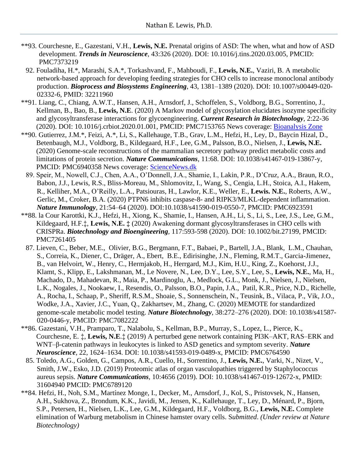- \*\*93. Courchesne, E., Gazestani, V.H., **Lewis, N.E.** Prenatal origins of ASD: The when, what and how of ASD development. *Trends in Neuroscience*, 43:326 (2020). DOI: 10.1016/j.tins.2020.03.005, PMCID: PMC7373219
- 92. Fouladiha, H.\*, Marashi, S.A.\*, Torkashvand, F., Mahboudi, F., **Lewis, N.E.**, Vaziri, B. A metabolic network-based approach for developing feeding strategies for CHO cells to increase monoclonal antibody production. *Bioprocess and Biosystems Engineering*, 43, 1381–1389 (2020). DOI: 10.1007/s00449-020- 02332-6, PMID: 32211960
- \*\*91. Liang, C., Chiang, A.W.T., Hansen, A.H., Arnsdorf, J., Schoffelen, S., Voldborg, B.G., Sorrentino, J., Kellman, B., Bao, B., **Lewis, N.E**. (2020) A Markov model of glycosylation elucidates isozyme specificity and glycosyltransferase interactions for glycoengineering. *Current Research in Biotechnology,* 2:22-36 (2020). DOI: 10.1016/j.crbiot.2020.01.001, PMCID: PMC7153765 News coverage: [Bioanalysis Zone](https://www.bioanalysis-zone.com/2020/06/01/predictive-glycosylation-modeling-rational-glycoengineering-biotherapeutics/)
- \*\*90. Gutierrez, J.M.\*, Feizi, A.\*, Li, S., Kallehauge, T.B., Grav, L.M., Hefzi, H., Ley, D., Baycin Hizal, D., Betenbaugh, M.J., Voldborg, B., Kildegaard, H.F., Lee, G.M., Palsson, B.O., Nielsen, J., **Lewis, N.E.** (2020) Genome-scale reconstructions of the mammalian secretory pathway predict metabolic costs and limitations of protein secretion. *Nature Communications*, 11:68. DOI: 10.1038/s41467-019-13867-y, PMCID: PMC6940358 News coverage: [ScienceNews.dk](https://www.sciencenews.dk/en/crispr-technology-and-a-computer-model-can-enhance-the-production-and-purity-of-drugs)
	- 89. Speir, M., Nowell, C.J., Chen, A.A., O'Donnell, J.A., Shamie, I., Lakin, P.R., D'Cruz, A.A., Braun, R.O., Babon, J.J., Lewis, R.S., Bliss-Moreau, M., Shlomovitz, I., Wang, S., Cengia, L.H., Stoica, A.I., Hakem, R., Kelliher, M.A., O'Reilly, L.A., Patsiouras, H., Lawlor, K.E., Weller, E., **Lewis. N.E.**, Roberts, A.W., Gerlic, M., Croker, B.A. (2020) PTPN6 inhibits caspase-8- and RIPK3/MLKL-dependent inflammation. *Nature Immunology,* 21:54–64 (2020). DOI:10.1038/s41590-019-0550-7, PMCID: PMC6923591
- \*\*88. la Cour Karottki, K.J., Hefzi, H., Xiong, K., Shamie, I., Hansen, A.H., Li, S., Li, S., Lee, J.S., Lee, G.M., Kildegaard, H.F.‡, **Lewis, N.E. ‡** (2020) Awakening dormant glycosyltransferases in CHO cells with CRISPRa. *Biotechnology and Bioengineering,* 117:593-598 (2020). DOI: 10.1002/bit.27199, PMCID: PMC7261405
	- 87. Lieven, C., Beber, M.E., Olivier, B.G., Bergmann, F.T., Babaei, P., Bartell, J.A., Blank, L.M., Chauhan, S., Correia, K., Diener, C., Dräger, A., Ebert, B.E., Edirisinghe, J.N., Fleming, R.M.T., Garcia-Jimenez, B., van Helvoirt, W., Henry, C., Hermjakob, H., Herrgard, M.J., Kim, H.U., King, Z., Koehorst, J.J., Klamt, S., Klipp, E., Lakshmanan, M., Le Novere, N., Lee, D.Y., Lee, S.Y., Lee, S., **Lewis, N.E.**, Ma, H., Machado, D., Mahadevan, R., Maia, P., Mardinoglu, A., Medlock, G.L., Monk, J., Nielsen, J., Nielsen, L.K., Nogales, J., Nookaew, I., Resendis, O., Palsson, B.O., Papin, J.A., Patil, K.R., Price, N.D., Richelle, A., Rocha, I., Schaap, P., Sheriff, R.S.M., Shoaie, S., Sonnenschein, N., Teusink, B., Vilaca, P., Vik, J.O., Wodke, J.A., Xavier, J.C., Yuan, Q., Zakhartsev, M., Zhang, C. (2020) MEMOTE for standardized genome-scale metabolic model testing. *Nature Biotechnology*, 38:272–276 (2020). DOI: 10.1038/s41587- 020-0446-y, PMCID: PMC7082222
- \*\*86. Gazestani, V.H., Pramparo, T., Nalabolu, S., Kellman, B.P., Murray, S., Lopez, L., Pierce, K., Courchesne, E. ‡, **Lewis, N.E**.‡ (2019) A perturbed gene network containing PI3K–AKT, RAS–ERK and WNT–β-catenin pathways in leukocytes is linked to ASD genetics and symptom severity. *Nature Neuroscience*, 22, 1624–1634. DOI: 10.1038/s41593-019-0489-x, PMCID: PMC6764590
- 85. Toledo, A.G., Golden, G., Campos, A.R., Cuello, H., Sorrentino, J., **Lewis, N.E.**, Varki, N., Nizet, V., Smith, J.W., Esko, J.D. (2019) Proteomic atlas of organ vasculopathies triggered by Staphylococcus aureus sepsis. *Nature Communications,* 10:4656 (2019). DOI: 10.1038/s41467-019-12672-x, PMID: 31604940 PMCID: PMC6789120
- \*\*84. Hefzi, H., Noh, S.M., Martínez Monge, I., Decker, M., Arnsdorf, J., Kol, S., Pristovsek, N., Hansen, A.H., Sukhova, Z., Brondum, K.K., Javidi, M., Jensen, K., Kallehauge, T., Ley, D., Ménard, P., Bjorn, S.P., Petersen, H., Nielsen, L.K., Lee, G.M., Kildegaard, H.F., Voldborg, B.G., **Lewis, N.E.** Complete elimination of Warburg metabolism in Chinese hamster ovary cells. S*ubmitted*. *(Under review at Nature Biotechnology)*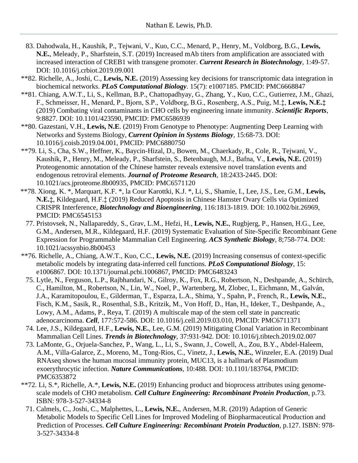- 83. Dahodwala, H., Kaushik, P., Tejwani, V., Kuo, C.C., Menard, P., Henry, M., Voldborg, B.G., **Lewis, N.E.**, Meleady, P., Sharfstein, S.T. (2019) Increased mAb titers from amplification are associated with increased interaction of CREB1 with transgene promoter. *Current Research in Biotechnology,* 1:49-57. DOI: 10.1016/j.crbiot.2019.09.001
- \*\*82. Richelle, A., Joshi, C., **Lewis, N.E.** (2019) Assessing key decisions for transcriptomic data integration in biochemical networks. *PLoS Computational Biology*. 15(7): e1007185. PMCID: PMC6668847
- \*\*81. Chiang, A.W.T., Li, S., Kellman, B.P., Chattopadhyay, G., Zhang, Y., Kuo, C.C., Gutierrez, J.M., Ghazi, F., Schmeisser, H., Menard, P., Bjorn, S.P., Voldborg, B.G., Rosenberg, A.S., Puig, M.‡, **Lewis, N.E.‡** (2019) Combating viral contaminants in CHO cells by engineering innate immunity. *Scientific Reports*, 9:8827. DOI: 10.1101/423590, PMCID: PMC6586939
- \*\*80. Gazestani, V.H., **Lewis, N.E**. (2019) From Genotype to Phenotype: Augmenting Deep Learning with Networks and Systems Biology, *Current Opinion in Systems Biology,* 15:68-73. DOI: 10.1016/j.coisb.2019.04.001, PMCID: PMC6880750
- \*\*79. Li, S., Cha, S.W., Heffner, K., Baycin-Hizal, D., Bowen, M., Chaerkady, R., Cole, R., Tejwani, V., Kaushik, P., Henry, M., Meleady, P., Sharfstein, S., Betenbaugh, M.J., Bafna, V., **Lewis, N.E.** (2019) Proteogenomic annotation of the Chinese hamster reveals extensive novel translation events and endogenous retroviral elements. *Journal of Proteome Research*, 18:2433-2445. DOI: 10.1021/acs.jproteome.8b00935, PMCID: PMC6571120
- \*\*78. Xiong, K. \*, Marquart, K.F. \*, la Cour Karottki, K.J. \*, Li, S., Shamie, I., Lee, J.S., Lee, G.M., **Lewis, N.E.‡**, Kildegaard, H.F.‡ (2019) Reduced Apoptosis in Chinese Hamster Ovary Cells via Optimized CRISPR Interference, *Biotechnology and Bioengineering,* 116:1813-1819. DOI: 10.1002/bit.26969, PMCID: PMC6545153
	- 77. Pristovsek, N., Nallapareddy, S., Grav, L.M., Hefzi, H., **Lewis, N.E.**, Rugbjerg, P., Hansen, H.G., Lee, G.M., Andersen, M.R., Kildegaard, H.F. (2019) Systematic Evaluation of Site-Specific Recombinant Gene Expression for Programmable Mammalian Cell Engineering. *ACS Synthetic Biology,* 8;758-774. DOI: 10.1021/acssynbio.8b00453
- \*\*76. Richelle, A., Chiang, A.W.T., Kuo, C.C., **Lewis, N.E.** (2019) Increasing consensus of context-specific metabolic models by integrating data-inferred cell functions. *PLoS Computational Biology*, 15: e1006867. DOI: 10.1371/journal.pcbi.1006867, PMCID: PMC6483243
	- 75. Lytle, N., Ferguson, L.P., Rajbhandari, N., Gilroy, K., Fox, R.G., Robertson, N., Deshpande, A., Schürch, C., Hamilton, M., Robertson, N., Lin, W., Noel, P., Wartenberg, M, Zlobec, I., Eichmann, M., Galván, J.A., Karamitopoulou, E., Gilderman, T., Esparza, L.A., Shima, Y., Spahn, P., French, R., **Lewis, N.E.**, Fisch, K.M., Sasik, R., Rosenthal, S.B., Kritzik, M., Von Hoff, D., Han, H., Ideker, T., Deshpande, A., Lowy, A.M., Adams, P., Reya, T. (2019) A multiscale map of the stem cell state in pancreatic adenocarcinoma. *Cell*, 177:572-586. DOI: 10.1016/j.cell.2019.03.010, PMCID: PMC6711371
	- 74. Lee, J.S., Kildegaard, H.F., **Lewis, N.E.**, Lee, G.M. (2019) Mitigating Clonal Variation in Recombinant Mammalian Cell Lines. *Trends in Biotechnology,* 37:931-942*.* DOI: 10.1016/j.tibtech.2019.02.007
	- 73. LaMonte, G., Orjuela-Sanchez, P., Wang, L., Li, S., Swann, J., Cowell, A., Zou, B.Y., Abdel-Haleem, A.M., Villa-Galarce, Z., Moreno, M., Tong-Rios, C., Vinetz, J., **Lewis, N.E.**, Winzeler, E.A. (2019) Dual RNAseq shows the human mucosal immunity protein, MUC13, is a hallmark of Plasmodium exoerythrocytic infection. *Nature Communications,* 10:488*.* DOI: 10.1101/183764, PMCID: PMC6353872
- \*\*72. Li, S.\*, Richelle, A.\*, **Lewis, N.E.** (2019) Enhancing product and bioprocess attributes using genomescale models of CHO metabolism. *Cell Culture Engineering: Recombinant Protein Production,* p.73. ISBN: 978-3-527-34334-8
	- 71. Calmels, C., Joshi, C., Malphettes, L., **Lewis, N.E.**, Andersen, M.R. (2019) Adaption of Generic Metabolic Models to Specific Cell Lines for Improved Modeling of Biopharmaceutical Production and Prediction of Processes. *Cell Culture Engineering: Recombinant Protein Production,* p.127. ISBN: 978- 3-527-34334-8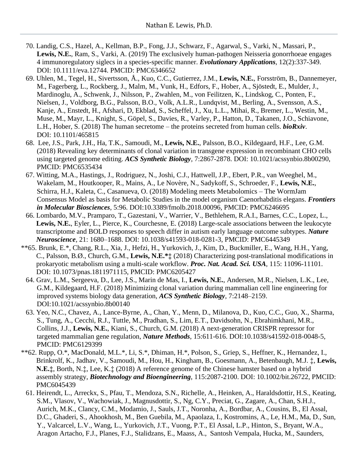- 70. Landig, C.S., Hazel, A., Kellman, B.P., Fong, J.J., Schwarz, F., Agarwal, S., Varki, N., Massari, P., **Lewis, N.E.**, Ram, S., Varki, A. (2019) The exclusively human-pathogen Neisseria gonorrhoeae engages 4 immunoregulatory siglecs in a species-specific manner. *Evolutionary Applications*, 12(2):337-349. DOI: 10.1111/eva.12744. PMCID: PMC6346652
- 69. Uhlen, M., Tegel, H., Sivertsson, Å., Kuo, C.C., Gutierrez, J.M., **Lewis, N.E.**, Forsström, B., Dannemeyer, M., Fagerberg, L., Rockberg, J., Malm, M., Vunk, H., Edfors, F., Hober, A., Sjöstedt, E., Mulder, J., Mardinoglu, A., Schwenk, J., Nilsson, P., Zwahlen, M., von Feilitzen, K., Lindskog, C., Ponten, F., Nielsen, J., Voldborg, B.G., Palsson, B.O., Volk, A.L.R., Lundqvist, M., Berling, A., Svensson, A.S., Kanje, A., Enstedt, H., Afshari, D, Ekblad, S., Scheffel, J., Xu, L.L., Mihai, R., Bremer, L., Westin, M., Muse, M., Mayr, L., Knight, S., Göpel, S., Davies, R., Varley, P., Hatton, D., Takanen, J.O., Schiavone, L.H., Hober, S. (2018) The human secretome – the proteins secreted from human cells. *bioRxiv*. DOI: 10.1101/465815
- 68. Lee, J.S., Park, J.H., Ha, T.K., Samoudi, M., **Lewis, N.E.**, Palsson, B.O., Kildegaard, H.F., Lee, G.M. (2018) Revealing key determinants of clonal variation in transgene expression in recombinant CHO cells using targeted genome editing. *ACS Synthetic Biology,* 7:2867-2878. DOI: 10.1021/acssynbio.8b00290, PMCID: PMC6535434
- 67. Witting, M.A., Hastings, J., Rodriguez, N., Joshi, C.J., Hattwell, J.P., Ebert, P.R., van Weeghel, M., Wakelam, M., Houtkooper, R., Mains, A., Le Novère, N., Sadykoff, S., Schroeder, F., **Lewis, N.E.**, Schirra, H.J., Kaleta, C., Casanueva, O. (2018) Modeling meets Metabolomics – The WormJam Consensus Model as basis for Metabolic Studies in the model organism Caenorhabditis elegans. *Frontiers in Molecular Biosciences*, 5:96. DOI:10.3389/fmolb.2018.00096, PMCID: PMC6246695
- 66. Lombardo, M.V., Pramparo, T., Gazestani, V., Warrier, V., Bethlehem, R.A.I., Barnes, C.C., Lopez, L., **Lewis, N.E.**, Eyler, L., Pierce, K., Courchesne, E. (2018) Large-scale associations between the leukocyte transcriptome and BOLD responses to speech differ in autism early language outcome subtypes. *Nature Neuroscience,* 21: 1680–1688. DOI: 10.1038/s41593-018-0281-3, PMCID: PMC6445349
- \*\*65. Brunk, E.\*, Chang, R.L., Xia, J., Hefzi, H., Yurkovich, J., Kim, D., Buckmiller, E., Wang, H.H., Yang, C., Palsson, B.Ø., Church, G.M., **Lewis, N.E.\*‡** (2018) Characterizing post-translational modifications in prokaryotic metabolism using a multi-scale workflow. *Proc. Nat. Acad. Sci. USA*, 115: 11096-11101. DOI: 10.1073/pnas.1811971115, PMCID: PMC6205427
	- 64. Grav, L.M., Sergeeva, D., Lee, J.S., Marin de Mas, I., **Lewis, N.E.**, Andersen, M.R., Nielsen, L.K., Lee, G.M., Kildegaard, H.F. (2018) Minimizing clonal variation during mammalian cell line engineering for improved systems biology data generation, *ACS Synthetic Biology*, 7:2148–2159. DOI:10.1021/acssynbio.8b00140
	- 63. Yeo, N.C., Chavez, A., Lance-Byrne, A., Chan, Y., Menn, D., Milanova, D., Kuo, C.C., Guo, X., Sharma, S., Tung, A., Cecchi, R.J., Tuttle, M., Pradhan, S., Lim, E.T., Davidsohn, N., Ebrahimkhani, M.R., Collins, J.J., **Lewis, N.E.**, Kiani, S., Church, G.M. (2018) A next-generation CRISPR repressor for targeted mammalian gene regulation, *Nature Methods*, 15:611-616. DOI:10.1038/s41592-018-0048-5, PMCID: PMC6129399
- \*\*62. Rupp, O.\*, MacDonald, M.L.\*, Li, S.\*, Dhiman, H.\*, Polson, S., Griep, S., Heffner, K., Hernandez, I., Brinkrolf, K., Jadhav, V., Samoudi, M., Hou, H., Kingham, B., Goesmann, A., Betenbaugh, M.J. ‡, **Lewis, N.E.‡**, Borth, N.‡, Lee, K.‡ (2018) A reference genome of the Chinese hamster based on a hybrid assembly strategy, *Biotechnology and Bioengineering*, 115:2087-2100. DOI: 10.1002/bit.26722, PMCID: PMC6045439
	- 61. Heirendt, L., Arreckx, S., Pfau, T., Mendoza, S.N., Richelle, A., Heinken, A., Haraldsdottir, H.S., Keating, S.M., Vlasov, V., Wachowiak, J., Magnusdottir, S., Ng, C.Y., Preciat, G., Zagare, A., Chan, S.H.J., Aurich, M.K., Clancy, C.M., Modamio, J., Sauls, J.T., Noronha, A., Bordbar, A., Cousins, B., El Assal, D.C., Ghaderi, S., Ahookhosh, M., Ben Guebila, M., Apaolaza, I., Kostromins, A., Le, H.M., Ma, D., Sun, Y., Valcarcel, L.V., Wang, L., Yurkovich, J.T., Vuong, P.T., El Assal, L.P., Hinton, S., Bryant, W.A., Aragon Artacho, F.J., Planes, F.J., Stalidzans, E., Maass, A., Santosh Vempala, Hucka, M., Saunders,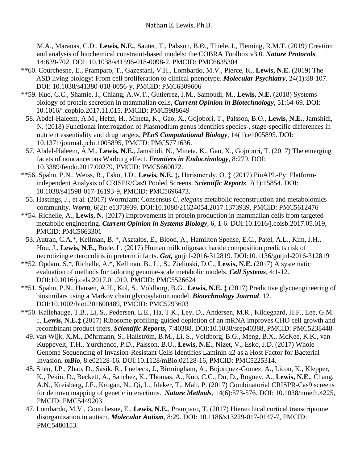M.A., Maranas, C.D., **Lewis, N.E.**, Sauter, T., Palsson, B.Ø., Thiele, I., Fleming, R.M.T. (2019) Creation and analysis of biochemical constraint-based models: the COBRA Toolbox v3.0. *Nature Protocols*, 14:639-702. DOI: 10.1038/s41596-018-0098-2. PMCID: PMC6635304

- \*\*60. Courchesne, E., Pramparo, T., Gazestani, V.H., Lombardo, M.V., Pierce, K., **Lewis, N.E.** (2019) The ASD living biology: From cell proliferation to clinical phenotype. *Molecular Psychiatry*, 24(1):88-107. DOI: 10.1038/s41380-018-0056-y, PMCID: PMC6309606
- \*\*59. Kuo, C.C., Shamie, I., Chiang, A.W.T., Gutierrez, J.M., Samoudi, M., **Lewis, N.E.** (2018) Systems biology of protein secretion in mammalian cells, *Current Opinion in Biotechnology*, 51:64-69. DOI: 10.1016/j.copbio.2017.11.015. PMCID: PMC5988649
	- 58. Abdel-Haleem, A.M., Hefzi, H., Mineta, K., Gao, X., Gojobori, T., Palsson, B.O., **Lewis, N.E.**, Jamshidi, N. (2018) Functional interrogation of Plasmodium genus identifies species-, stage-specific differences in nutrient essentiality and drug targets. *PLoS Computational Biology*, 14(1):e1005895. DOI: 10.1371/journal.pcbi.1005895, PMCID: PMC5771636.
- 57. Abdel-Haleem, A.M., **Lewis, N.E.**, Jamshidi, N., Mineta, K., Gao, X., Gojobori, T. (2017) The emerging facets of noncancerous Warburg effect. *Frontiers in Endocrinology*, 8:279. DOI: 10.3389/fendo.2017.00279, PMCID: PMC5660072.
- \*\*56. Spahn, P.N., Weiss, R., Esko, J.D., **Lewis, N.E. ‡,** Harismendy, O. ‡ (2017) PinAPL-Py: Platformindependent Analysis of CRISPR/Cas9 Pooled Screens. *Scientific Reports*, 7(1):15854. DOI: 10.1038/s41598-017-16193-9, PMCID: PMC5696473.
- 55. Hastings, J., et al. (2017) WormJam: Consensus *C. elegans* metabolic reconstruction and metabolomics community. *Worm*, 6(2): e1373939. DOI:10.1080/21624054.2017.1373939, PMCID: PMC5612476
- \*\*54. Richelle, A., **Lewis, N.** (2017) Improvements in protein production in mammalian cells from targeted metabolic engineering. *Current Opinion in Systems Biology*, 6, 1-6. DOI:10.1016/j.coisb.2017.05.019, PMCID: PMC5663301
- 53. Autran, C.A.\*, Kellman, B. \*, Asztalos, E., Blood, A., Hamilton Spense, E.C., Patel, A.L., Kim, J.H., Hou, J., **Lewis, N.E.**, Bode, L. (2017) Human milk oligosaccharide composition predicts risk of necrotizing enterocolitis in preterm infants. *Gut,* gutjnl-2016-312819. DOI:10.1136/gutjnl-2016-312819
- \*\*52. Opdam, S.\*, Richelle, A.\*, Kellman, B., Li, S., Zielinski, D.C., **Lewis, N.E.** (2017) A systematic evaluation of methods for tailoring genome-scale metabolic models. *Cell Systems*, 4:1-12. DOI:10.1016/j.cels.2017.01.010, PMCID: PMC5526624
- \*\*51. Spahn, P.N., Hansen, A.H., Kol, S., Voldborg, B.G., **Lewis, N.E. ‡** (2017) Predictive glycoengineering of biosimilars using a Markov chain glycosylation model. *Biotechnology Journal,* 12*.* DOI:10.1002/biot.201600489, PMCID: PMC5293603
- \*\*50. Kallehauge, T.B., Li, S., Pedersen, L.E., Ha, T.K., Ley, D., Andersen, M.R., Kildegaard, H.F., Lee, G.M. ‡, **Lewis, N.E.‡** (2017) Ribosome profiling-guided depletion of an mRNA improves CHO cell growth and recombinant product titers. *Scientific Reports,* 7:40388. DOI:10.1038/srep40388, PMCID: PMC5238448
- 49. van Wijk, X.M., Döhrmann, S., Hallström, B.M., Li, S., Voldborg, B.G., Meng, B.X., McKee, K.K., van Kuppevelt, T.H., Yurchenco, P.D., Palsson, B.O., **Lewis, N.E.**, Nizet, V., Esko, J.D. (2017) Whole Genome Sequencing of Invasion-Resistant Cells Identifies Laminin α2 as a Host Factor for Bacterial Invasion. *mBio,* 8:e02128-16. DOI:10.1128/mBio.02128-16, PMCID: PMC5225314.
- 48. Shen, J.P., Zhao, D., Sasik, R., Luebeck, J., Birmingham, A., Bojorquez-Gomez, A., Licon, K., Klepper, K., Pekin, D., Beckett, A., Sanchez, K., Thomas, A., Kuo, C.C., Du, D., Roguev, A., **Lewis, N.E.**, Chang, A.N., Kreisberg, J.F., Krogan, N., Qi, L., Ideker, T., Mali, P. (2017) Combinatorial CRISPR-Cas9 screens for de novo mapping of genetic interactions. *Nature Methods*, 14(6):573-576. DOI: 10.1038/nmeth.4225, PMCID: PMC5449203
- 47. Lombardo, M.V., Courchesne, E., **Lewis, N.E.**, Pramparo, T. (2017) Hierarchical cortical transcriptome disorganization in autism. *Molecular Autism*, 8:29. DOI: 10.1186/s13229-017-0147-7, PMCID: PMC5480153.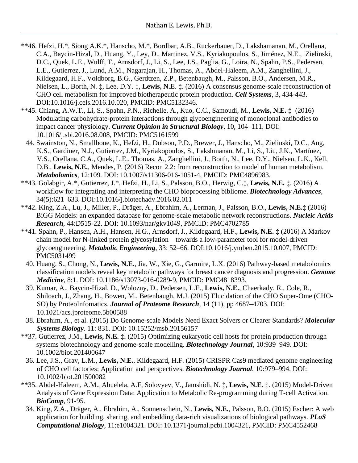- \*\*46. Hefzi, H.\*, Siong A.K.\*, Hanscho, M.\*, Bordbar, A.B., Ruckerbauer, D., Lakshamanan, M., Orellana, C.A., Baycin-Hizal, D., Huang, Y., Ley, D., Martinez, V.S., Kyriakopoulos, S., Jiménez, N.E., Zielinski, D.C., Quek, L.E., Wulff, T., Arnsdorf, J., Li, S., Lee, J.S., Paglia, G., Loira, N., Spahn, P.S., Pedersen, L.E., Gutierrez, J., Lund, A.M., Nagarajan, H., Thomas, A., Abdel-Haleem, A.M., Zanghellini, J., Kildegaard, H.F., Voldborg, B.G., Gerdtzen, Z.P., Betenbaugh, M., Palsson, B.O., Andersen, M.R., Nielsen, L., Borth, N. ‡, Lee, D.Y. ‡, **Lewis, N.E**. **‡**. (2016) A consensus genome-scale reconstruction of CHO cell metabolism for improved biotherapeutic protein production. *Cell Systems,* 3, 434-443. DOI:10.1016/j.cels.2016.10.020, PMCID: PMC5132346.
- \*\*45. Chiang, A.W.T., Li, S., Spahn, P.N., Richelle, A., Kuo, C.C., Samoudi, M., **Lewis, N.E. ‡** (2016) Modulating carbohydrate-protein interactions through glycoengineering of monoclonal antibodies to impact cancer physiology. *Current Opinion in Structural Biology*, 10, 104–111. DOI: 10.1016/j.sbi.2016.08.008, PMCID: PMC5161599
	- 44. Swainston, N., Smallbone, K., Hefzi, H., Dobson, P.D., Brewer, J., Hanscho, M., Zielinski, D.C., Ang, K.S., Gardiner, N.J., Gutierrez, J.M., Kyriakopoulos, S., Lakshmanan, M., Li, S., Liu, J.K., Martínez, V.S., Orellana, C.A., Quek, L.E., Thomas, A., Zanghellini, J., Borth, N., Lee, D.Y., Nielsen, L.K., Kell, D.B., **Lewis, N.E.**, Mendes, P. (2016) Recon 2.2: from reconstruction to model of human metabolism. *Metabolomics,* 12:109*.* DOI: 10.1007/s11306-016-1051-4, PMCID: PMC4896983.
- \*\*43. Golabgir, A.\*, Gutierrez, J.\*, Hefzi, H., Li, S., Palsson, B.O., Herwig, C.‡, **Lewis, N.E. ‡**. (2016) A workflow for integrating and interpreting the CHO bioprocessing bibliome. *Biotechnology Advances*, 34(5):621–633. DOI:10.1016/j.biotechadv.2016.02.011
- \*\*42. King, Z.A., Lu, J., Miller, P., Dräger, A., Ebrahim, A., Lerman, J., Palsson, B.O., **Lewis, N.E.‡** (2016) BiGG Models: an expanded database for genome-scale metabolic network reconstructions. *Nucleic Acids Research,* 44:D515-22. DOI: 10.1093/nar/gkv1049, PMCID: PMC4702785
- \*\*41. Spahn, P., Hansen, A.H., Hansen, H.G., Arnsdorf, J., Kildegaard, H.F., **Lewis, N.E. ‡** (2016) A Markov chain model for N-linked protein glycosylation – towards a low-parameter tool for model-driven glycoengineering. *Metabolic Engineering*, 33: 52–66. DOI:10.1016/j.ymben.2015.10.007, PMCID: PMC5031499
	- 40. Huang, S., Chong, N., **Lewis, N.E.**, Jia, W., Xie, G., Garmire, L.X. (2016) Pathway-based metabolomics classification models reveal key metabolic pathways for breast cancer diagnosis and progression. *Genome Medicine,* 8:1. DOI: 10.1186/s13073-016-0289-9, PMCID: PMC4818393.
	- 39. Kumar, A., Baycin-Hizal, D., Wolozny, D., Pedersen, L.E., **Lewis, N.E.**, Chaerkady, R., Cole, R., Shiloach, J., Zhang, H., Bowen, M., Betenbaugh, M.J. (2015) Elucidation of the CHO Super-Ome (CHO-SO) by ProteoInfomatics. *Journal of Proteome Research*, 14 (11), pp 4687–4703. DOI: 10.1021/acs.jproteome.5b00588
- 38. Ebrahim, A., et al. (2015) Do Genome-scale Models Need Exact Solvers or Clearer Standards? *Molecular Systems Biology*. 11: 831. DOI: 10.15252/msb.20156157
- \*\*37. Gutierrez, J.M., **Lewis, N.E. ‡.** (2015) Optimizing eukaryotic cell hosts for protein production through systems biotechnology and genome-scale modelling. *Biotechnology Journal,* 10:939–949. DOI: 10.1002/biot.201400647
- 36. Lee, J.S., Grav, L.M., **Lewis, N.E.**, Kildegaard, H.F. (2015) CRISPR Cas9 mediated genome engineering of CHO cell factories: Application and perspectives. *Biotechnology Journal.* 10:979–994. DOI: 10.1002/biot.201500082
- \*\*35. Abdel-Haleem, A.M., Abuelela, A.F, Solovyev, V., Jamshidi, N. ‡, **Lewis, N.E. ‡**. (2015) Model-Driven Analysis of Gene Expression Data: Application to Metabolic Re-programming during T-cell Activation. *BioComp*, 91-95.
	- 34. King, Z.A., Dräger, A., Ebrahim, A., Sonnenschein, N., **Lewis, N.E.**, Palsson, B.O. (2015) Escher: A web application for building, sharing, and embedding data-rich visualizations of biological pathways. *PLoS Computational Biology,* 11:e1004321. DOI: 10.1371/journal.pcbi.1004321, PMCID: PMC4552468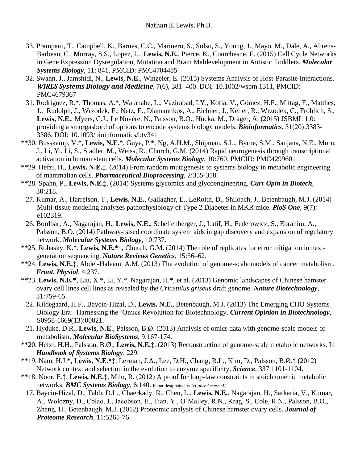- 33. Pramparo, T., Campbell, K., Barnes, C.C., Marinero, S., Solso, S., Young, J., Mayo, M., Dale, A., Ahrens-Barbeau, C., Murray, S.S., Lopez, L., **Lewis, N.E.**, Pierce, K., Courchesne, E. (2015) Cell Cycle Networks in Gene Expression Dysregulation, Mutation and Brain Maldevelopment in Autistic Toddlers. *Molecular Systems Biology*, 11: 841. PMCID: PMC4704485
- 32. Swann, J., Jamshidi, N., **Lewis, N.E.**, Winzeler, E. (2015) Systems Analysis of Host-Parasite Interactions. *WIRES Systems Biology and Medicine*, 7(6), 381–400. DOI: 10.1002/wsbm.1311, PMCID: PMC4679367
- 31. Rodriguez, R.\*, Thomas, A.\*, Watanabe, L., Vazirabad, I.Y., Kofia, V., Gómez, H.F., Mittag, F., Matthes, J., Rudolph, J., Wrzodek, F., Netz, E., Diamantikos, A., Eichner, J., Keller, R., Wrzodek, C., Fröhlich, S., **Lewis, N.E.**, Myers, C.J., Le Novère, N., Palsson, B.O., Hucka, M., Dräger, A. (2015) JSBML 1.0: providing a smorgasbord of options to encode systems biology models. *Bioinformatics*, 31(20):3383- 3386. DOI: 10.1093/bioinformatics/btv341
- \*\*30. Busskamp, V.\*, **Lewis, N.E.\***, Guye, P.\*, Ng, A.H.M., Shipman, S.L., Byrne, S.M., Sanjana, N.E., Murn, J., Li, Y., Li, S., Stadler, M., Weiss, R., Church, G.M. (2014) Rapid neurogenesis through transcriptional activation in human stem cells. *Molecular Systems Biology*, 10:760. PMCID: PMC4299601
- \*\*29. Hefzi, H., **Lewis, N.E.‡**. (2014) From random mutagenesis to systems biology in metabolic engineering of mammalian cells. *Pharmaceutical Bioprocessing*, 2:355-358.
- \*\*28. Spahn, P., **Lewis, N.E.‡**. (2014) Systems glycomics and glycoengineering. *Curr Opin in Biotech*, 30:218.
- 27. Kumar, A., Harrelson, T., **Lewis, N.E.**, Gallagher, E., LeRoith, D., Shiloach, J., Betenbaugh, M.J. (2014) Multi-tissue modeling analyzes pathophysiology of Type 2 Diabetes in MKR mice. *PloS One*, 9(7): e102319.
- 26. Bordbar, A., Nagarajan, H., **Lewis, N.E.**, Schellenberger, J., Latif, H., Federowicz, S., Ebrahim, A., Palsson, B.O. (2014) Pathway-based coordinate system aids in gap discovery and expansion of regulatory network. *Molecular Systems Biology*, 10:737.
- \*\*25. Robasky, K.\*, **Lewis, N.E.\*‡**, Church, G.M. (2014) The role of replicates for error mitigation in nextgeneration sequencing. *Nature Reviews Genetics*, 15:56–62.
- \*\*24. **Lewis, N.E.‡**, Abdel-Haleem, A.M. (2013) The evolution of genome-scale models of cancer metabolism. *Front. Physiol*, 4:237.
- \*\*23. **Lewis, N.E.\***, Liu, X.\*, Li, Y.\*, Nagarajan, H.\*, et al. (2013) Genomic landscapes of Chinese hamster ovary cell lines cell lines as revealed by the *Cricetulus griseus* draft genome. *Nature Biotechnology*, 31:759-65.
	- 22. Kildegaard, H.F., Baycin-Hizal, D., **Lewis, N.E.**, Betenbaugh, M.J. (2013) The Emerging CHO Systems Biology Era: Harnessing the 'Omics Revolution for Biotechnology. *Current Opinion in Biotechnology*, S0958-1669(13):00021.
- 21. Hyduke, D.R., **Lewis, N.E.**, Palsson, B.Ø. (2013) Analysis of omics data with genome-scale models of metabolism. *Molecular BioSystems*, 9:167-174.
- \*\*20. Hefzi, H.H., Palsson, B.Ø., **Lewis, N.E.‡**. (2013) Reconstruction of genome-scale metabolic networks. In *Handbook of Systems Biology*, 229.
- \*\*19. Nam, H.J.\*, **Lewis, N.E.\*‡**, Lerman, J.A., Lee, D.H., Chang, R.L., Kim, D., Palsson, B.Ø.‡ (2012) Network context and selection in the evolution to enzyme specificity. *Science,* 337:1101-1104.
- \*\*18. Noor, E.‡, **Lewis, N.E.‡**, Milo, R. (2012) A proof for loop-law constraints in stoichiometric metabolic networks. *BMC Systems Biology*, 6:140. Paper designated as "*Highly Accessed.*"
	- 17. Baycin-Hizal, D., Tabb, D.L., Chaerkady, R., Chen, L., **Lewis, N.E.**, Nagarajan, H., Sarkaria, V., Kumar, A., Wolozny, D., Colao, J., Jacobson, E., Tian, Y., O'Malley, R.N., Krag, S., Cole, R.N., Palsson, B.O., Zhang, H., Betenbaugh, M.J. (2012) Proteomic analysis of Chinese hamster ovary cells. *Journal of Proteome Research*, 11:5265-76.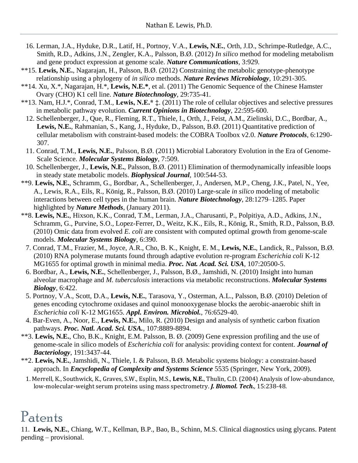- 16. Lerman, J.A., Hyduke, D.R., Latif, H., Portnoy, V.A., **Lewis, N.E.**, Orth, J.D., Schrimpe-Rutledge, A.C., Smith, R.D., Adkins, J.N., Zengler, K.A., Palsson, B.Ø. (2012) *In silico* method for modeling metabolism and gene product expression at genome scale. *Nature Communications,* 3:929.
- \*\*15. **Lewis, N.E.**, Nagarajan, H., Palsson, B.Ø. (2012) Constraining the metabolic genotype-phenotype relationship using a phylogeny of *in silico* methods. *Nature Reviews Microbiology,* 10:291-305.
- \*\*14. Xu, X.\*, Nagarajan, H.\*, **Lewis, N.E.\***, et al. (2011) The Genomic Sequence of the Chinese Hamster Ovary (CHO) K1 cell line. *Nature Biotechnology*, 29:735-41.
- \*\*13. Nam, H.J.\*, Conrad, T.M., **Lewis, N.E.\* ‡**. (2011) The role of cellular objectives and selective pressures in metabolic pathway evolution. *Current Opinions in Biotechnology*, 22:595-600.
	- 12. Schellenberger, J., Que, R., Fleming, R.T., Thiele, I., Orth, J., Feist, A.M., Zielinski, D.C., Bordbar, A., **Lewis, N.E.**, Rahmanian, S., Kang, J., Hyduke, D., Palsson, B.Ø. (2011) Quantitative prediction of cellular metabolism with constraint-based models: the COBRA Toolbox v2.0. *Nature Protocols*, 6:1290- 307.
	- 11. Conrad, T.M., **Lewis, N.E.**, Palsson, B.Ø. (2011) Microbial Laboratory Evolution in the Era of Genome-Scale Science. *Molecular Systems Biology*, 7:509.
- 10. Schellenberger, J., **Lewis, N.E.**, Palsson, B.Ø. (2011) Elimination of thermodynamically infeasible loops in steady state metabolic models. *Biophysical Journal*, 100:544-53.
- \*\*9. **Lewis, N.E.**, Schramm, G., Bordbar, A., Schellenberger, J., Andersen, M.P., Cheng, J.K., Patel, N., Yee, A., Lewis, R.A., Eils, R., König, R., Palsson, B.Ø. (2010) Large-scale *in silico* modeling of metabolic interactions between cell types in the human brain. *Nature Biotechnology*, 28:1279–1285. Paper highlighted by *Nature Methods*, (January 2011).
- \*\*8. **Lewis, N.E.**, Hixson, K.K., Conrad, T.M., Lerman, J.A., Charusanti, P., Polpitiya, A.D., Adkins, J.N., Schramm, G., Purvine, S.O., Lopez-Ferrer, D., Weitz, K.K., Eils, R., König, R., Smith, R.D., Palsson, B.Ø. (2010) Omic data from evolved *E. coli* are consistent with computed optimal growth from genome-scale models. *Molecular Systems Biology*, 6:390.
	- 7. Conrad, T.M., Frazier, M., Joyce, A.R., Cho, B. K., Knight, E. M., **Lewis, N.E.**, Landick, R., Palsson, B.Ø. (2010) RNA polymerase mutants found through adaptive evolution re-program *Escherichia coli* K-12 MG1655 for optimal growth in minimal media. *Proc. Nat. Acad. Sci. USA*, 107:20500-5.
	- 6. Bordbar, A., **Lewis, N.E.**, Schellenberger, J., Palsson, B.Ø., Jamshidi, N. (2010) Insight into human alveolar macrophage and *M. tuberculosis* interactions via metabolic reconstructions. *Molecular Systems Biology*, 6:422.
	- 5. Portnoy, V.A., Scott, D.A., **Lewis, N.E.**, Tarasova, Y., Osterman, A.L., Palsson, B.Ø. (2010) Deletion of genes encoding cytochrome oxidases and quinol monooxygenase blocks the aerobic-anaerobic shift in *Escherichia coli* K-12 MG1655. *Appl. Environ. Microbiol.*, 76:6529-40.
- 4. Bar-Even, A., Noor, E., **Lewis, N.E.**, Milo, R. (2010) Design and analysis of synthetic carbon fixation pathways. *Proc. Natl. Acad. Sci. USA.,* 107:8889-8894.
- \*\*3. **Lewis, N.E.**, Cho, B.K., Knight, E.M. Palsson, B. Ø. (2009) Gene expression profiling and the use of genome-scale in silico models of *Escherichia coli* for analysis: providing context for content. *Journal of Bacteriology*, 191:3437-44.
- \*\*2. **Lewis, N.E.**, Jamshidi, N., Thiele, I. & Palsson, B.Ø. Metabolic systems biology: a constraint-based approach. In *Encyclopedia of Complexity and Systems Science* 5535 (Springer, New York, 2009).
- 1. Merrell, K., Southwick, K., Graves, S.W., Esplin, M.S., **Lewis, N.E.**, Thulin, C.D. (2004) Analysis of low-abundance, low-molecular-weight serum proteins using mass spectrometry. *J. Biomol. Tech.,* 15:238-48.

### Patents

11. **Lewis, N.E.**, Chiang, W.T., Kellman, B.P., Bao, B., Schinn, M.S. Clinical diagnostics using glycans. Patent pending – provisional.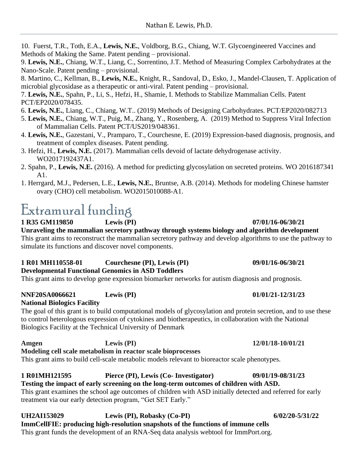10. Fuerst, T.R., Toth, E.A., **Lewis, N.E.**, Voldborg, B.G., Chiang, W.T. Glycoengineered Vaccines and Methods of Making the Same. Patent pending – provisional.

9. **Lewis, N.E.**, Chiang, W.T., Liang, C., Sorrentino, J.T. Method of Measuring Complex Carbohydrates at the Nano-Scale. Patent pending – provisional.

8. Martino, C., Kellman, B., **Lewis, N.E.**, Knight, R., Sandoval, D., Esko, J., Mandel-Clausen, T. Application of microbial glycosidase as a therapeutic or anti-viral. Patent pending – provisional.

7. **Lewis, N.E.**, Spahn, P., Li, S., Hefzi, H., Shamie, I. Methods to Stabilize Mammalian Cells. Patent PCT/EP2020/078435.

6. **Lewis, N.E.**, Liang, C., Chiang, W.T.. (2019) Methods of Designing Carbohydrates. PCT/EP2020/082713

- 5. **Lewis, N.E.**, Chiang, W.T., Puig, M., Zhang, Y., Rosenberg, A. (2019) Method to Suppress Viral Infection of Mammalian Cells. Patent PCT/US2019/048361.
- 4. **Lewis, N.E.**, Gazestani, V., Pramparo, T., Courchesne, E. (2019) Expression-based diagnosis, prognosis, and treatment of complex diseases. Patent pending.
- 3. Hefzi, H., **Lewis, N.E.** (2017). Mammalian cells devoid of lactate dehydrogenase activity. WO2017192437A1.
- 2. Spahn, P., **Lewis, N.E.** (2016). A method for predicting glycosylation on secreted proteins. WO 2016187341 A1.
- 1. Herrgard, M.J., Pedersen, L.E., **Lewis, N.E.**, Bruntse, A.B. (2014). Methods for modeling Chinese hamster ovary (CHO) cell metabolism. WO2015010088-A1.

## Extramural funding

**1 R35 GM119850 Lewis (PI) 07/01/16-06/30/21**

**Unraveling the mammalian secretory pathway through systems biology and algorithm development** This grant aims to reconstruct the mammalian secretory pathway and develop algorithms to use the pathway to simulate its functions and discover novel components.

#### **1 R01 MH110558-01 Courchesne (PI), Lewis (PI) 09/01/16-06/30/21 Developmental Functional Genomics in ASD Toddlers**

This grant aims to develop gene expression biomarker networks for autism diagnosis and prognosis.

### **NNF20SA0066621 Lewis (PI) 01/01/21-12/31/23**

### **National Biologics Facility**

The goal of this grant is to build computational models of glycosylation and protein secretion, and to use these to control heterologous expression of cytokines and biotherapeutics, in collaboration with the National Biologics Facility at the Technical University of Denmark

#### **Amgen Lewis (PI) 12/01/18-10/01/21 Modeling cell scale metabolism in reactor scale bioprocesses** This grant aims to build cell-scale metabolic models relevant to bioreactor scale phenotypes.

**1 R01MH121595 Pierce (PI), Lewis (Co- Investigator) 09/01/19-08/31/23 Testing the impact of early screening on the long-term outcomes of children with ASD.** This grant examines the school age outcomes of children with ASD initially detected and referred for early treatment via our early detection program, "Get SET Early."

#### **UH2AI153029 Lewis (PI), Robasky (Co-PI) 6/02/20-5/31/22 ImmCellFIE: producing high-resolution snapshots of the functions of immune cells**  This grant funds the development of an RNA-Seq data analysis webtool for ImmPort.org.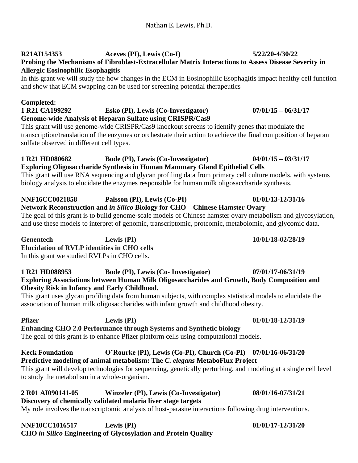### **R21AI154353 Aceves (PI), Lewis (Co-I) 5/22/20-4/30/22 Probing the Mechanisms of Fibroblast-Extracellular Matrix Interactions to Assess Disease Severity in Allergic Eosinophilic Esophagitis**

In this grant we will study the how changes in the ECM in Eosinophilic Esophagitis impact healthy cell function and show that ECM swapping can be used for screening potential therapeutics

### **Completed:**

#### **1 R21 CA199292 Esko (PI), Lewis (Co-Investigator) 07/01/15 – 06/31/17 Genome-wide Analysis of Heparan Sulfate using CRISPR/Cas9**

This grant will use genome-wide CRISPR/Cas9 knockout screens to identify genes that modulate the transcription/translation of the enzymes or orchestrate their action to achieve the final composition of heparan sulfate observed in different cell types.

#### **1 R21 HD080682 Bode (PI), Lewis (Co-Investigator) 04/01/15 – 03/31/17 Exploring Oligosaccharide Synthesis in Human Mammary Gland Epithelial Cells**

This grant will use RNA sequencing and glycan profiling data from primary cell culture models, with systems biology analysis to elucidate the enzymes responsible for human milk oligosaccharide synthesis.

#### **NNF16CC0021858 Palsson (PI), Lewis (Co-PI) 01/01/13-12/31/16 Network Reconstruction and** *in Silico* **Biology for CHO – Chinese Hamster Ovary**

The goal of this grant is to build genome-scale models of Chinese hamster ovary metabolism and glycosylation, and use these models to interpret of genomic, transcriptomic, proteomic, metabolomic, and glycomic data.

**Genentech Lewis (PI) 10/01/18-02/28/19 Elucidation of RVLP identities in CHO cells**  In this grant we studied RVLPs in CHO cells.

#### **1 R21 HD088953 Bode (PI), Lewis (Co- Investigator) 07/01/17-06/31/19 Exploring Associations between Human Milk Oligosaccharides and Growth, Body Composition and Obesity Risk in Infancy and Early Childhood.**

This grant uses glycan profiling data from human subjects, with complex statistical models to elucidate the association of human milk oligosaccharides with infant growth and childhood obesity.

#### **Pfizer Lewis (PI) 01/01/18-12/31/19 Enhancing CHO 2.0 Performance through Systems and Synthetic biology** The goal of this grant is to enhance Pfizer platform cells using computational models.

**Keck Foundation O'Rourke (PI), Lewis (Co-PI), Church (Co-PI) 07/01/16-06/31/20 Predictive modeling of animal metabolism: The** *C. elegans* **MetaboFlux Project**  This grant will develop technologies for sequencing, genetically perturbing, and modeling at a single cell level to study the metabolism in a whole-organism.

#### **2 R01 AI090141-05 Winzeler (PI), Lewis (Co-Investigator) 08/01/16-07/31/21 Discovery of chemically validated malaria liver stage targets** My role involves the transcriptomic analysis of host-parasite interactions following drug interventions.

**NNF10CC1016517 Lewis (PI) 01/01/17-12/31/20 CHO** *in Silico* **Engineering of Glycosylation and Protein Quality**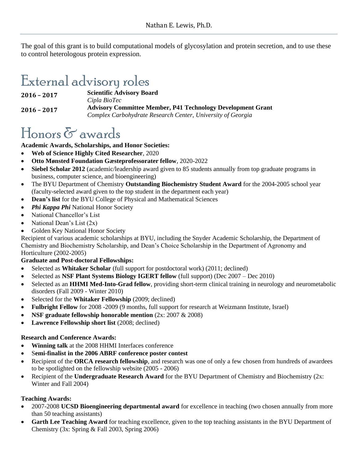The goal of this grant is to build computational models of glycosylation and protein secretion, and to use these to control heterologous protein expression.

## External advisory roles

**2016 – 2017 Scientific Advisory Board** *Cipla BioTec*  **2016 – 2017 Advisory Committee Member, P41 Technology Development Grant** *Complex Carbohydrate Research Center, University of Georgia*

## Honors & awards

#### **Academic Awards, Scholarships, and Honor Societies:**

- **Web of Science Highly Cited Researcher**, 2020
- **Otto Mønsted Foundation Gæsteprofessorater fellow**, 2020-2022
- **Siebel Scholar 2012** (academic/leadership award given to 85 students annually from top graduate programs in business, computer science, and bioengineering)
- The BYU Department of Chemistry **Outstanding Biochemistry Student Award** for the 2004-2005 school year (faculty-selected award given to the top student in the department each year)
- **Dean's list** for the BYU College of Physical and Mathematical Sciences
- *Phi Kappa Phi* National Honor Society
- National Chancellor's List
- National Dean's List (2x)
- Golden Key National Honor Society

Recipient of various academic scholarships at BYU, including the Snyder Academic Scholarship, the Department of Chemistry and Biochemistry Scholarship, and Dean's Choice Scholarship in the Department of Agronomy and Horticulture (2002-2005)

### **Graduate and Post-doctoral Fellowships:**

- Selected as **Whitaker Scholar** (full support for postdoctoral work) (2011; declined)
- Selected as **NSF Plant Systems Biology IGERT fellow** (full support) (Dec 2007 Dec 2010)
- Selected as an **HHMI Med-Into-Grad fellow**, providing short-term clinical training in neurology and neurometabolic disorders (Fall 2009 - Winter 2010)
- Selected for the **Whitaker Fellowship** (2009; declined)
- **Fulbright Fellow** for 2008 -2009 (9 months, full support for research at Weizmann Institute, Israel)
- **NSF graduate fellowship honorable mention** (2x: 2007 & 2008)
- **Lawrence Fellowship short list** (2008; declined)

#### **Research and Conference Awards:**

- **Winning talk** at the 2008 HHMI Interfaces conference
- S**emi-finalist in the 2006 ABRF conference poster contest**
- Recipient of the **ORCA research fellowship**, and research was one of only a few chosen from hundreds of awardees to be spotlighted on the fellowship website (2005 - 2006)
- Recipient of the **Undergraduate Research Award** for the BYU Department of Chemistry and Biochemistry (2x: Winter and Fall 2004)

### **Teaching Awards:**

- 2007-2008 **UCSD Bioengineering departmental award** for excellence in teaching (two chosen annually from more than 50 teaching assistants)
- **Garth Lee Teaching Award** for teaching excellence, given to the top teaching assistants in the BYU Department of Chemistry (3x: Spring & Fall 2003, Spring 2006)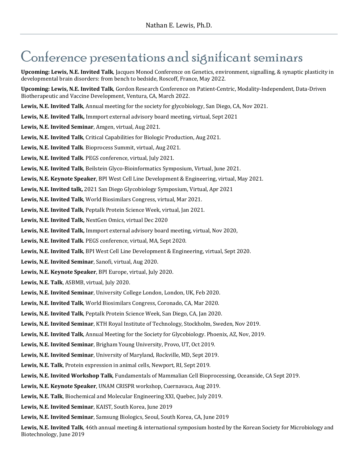### Conference presentations and significant seminars

**Upcoming: Lewis, N.E. Invited Talk**, Jacques Monod Conference on Genetics, environment, signalling, & synaptic plasticity in developmental brain disorders: from bench to bedside, Roscoff, France, May 2022.

**Upcoming: Lewis, N.E. Invited Talk**, Gordon Research Conference on Patient-Centric, Modality-Independent, Data-Driven Biotherapeutic and Vaccine Development, Ventura, CA, March 2022.

**Lewis, N.E. Invited Talk**, Annual meeting for the society for glycobiology, San Diego, CA, Nov 2021.

**Lewis, N.E. Invited Talk,** Immport external advisory board meeting, virtual, Sept 2021

**Lewis, N.E. Invited Seminar**, Amgen, virtual, Aug 2021.

**Lewis, N.E. Invited Talk**, Critical Capabilities for Biologic Production, Aug 2021.

**Lewis, N.E. Invited Talk**. Bioprocess Summit, virtual, Aug 2021.

**Lewis, N.E. Invited Talk**. PEGS conference, virtual, July 2021.

**Lewis, N.E. Invited Talk**, Beilstein Glyco-Bioinformatics Symposium, Virtual, June 2021.

**Lewis, N.E. Keynote Speaker**, BPI West Cell Line Development & Engineering, virtual, May 2021.

**Lewis, N.E. Invited talk,** 2021 San Diego Glycobiology Symposium, Virtual, Apr 2021

**Lewis, N.E. Invited Talk**, World Biosimilars Congress, virtual, Mar 2021.

**Lewis, N.E. Invited Talk**, Peptalk Protein Science Week, virtual, Jan 2021.

**Lewis, N.E. Invited Talk,** NextGen Omics, virtual Dec 2020

**Lewis, N.E. Invited Talk,** Immport external advisory board meeting, virtual, Nov 2020,

**Lewis, N.E. Invited Talk**. PEGS conference, virtual, MA, Sept 2020.

**Lewis, N.E. Invited Talk**, BPI West Cell Line Development & Engineering, virtual, Sept 2020.

**Lewis, N.E. Invited Seminar**, Sanofi, virtual, Aug 2020.

**Lewis, N.E. Keynote Speaker**, BPI Europe, virtual, July 2020.

**Lewis, N.E. Talk**, ASBMB, virtual, July 2020.

**Lewis, N.E. Invited Seminar**, University College London, London, UK, Feb 2020.

**Lewis, N.E. Invited Talk**, World Biosimilars Congress, Coronado, CA, Mar 2020.

**Lewis, N.E. Invited Talk**, Peptalk Protein Science Week, San Diego, CA, Jan 2020.

**Lewis, N.E. Invited Seminar**, KTH Royal Institute of Technology, Stockholm, Sweden, Nov 2019.

**Lewis, N.E. Invited Talk**, Annual Meeting for the Society for Glycobiology. Phoenix, AZ, Nov, 2019.

**Lewis, N.E. Invited Seminar**, Brigham Young University, Provo, UT, Oct 2019.

**Lewis, N.E. Invited Seminar**, University of Maryland, Rockville, MD, Sept 2019.

**Lewis, N.E. Talk**, Protein expression in animal cells, Newport, RI, Sept 2019.

**Lewis, N.E. Invited Workshop Talk**, Fundamentals of Mammalian Cell Bioprocessing, Oceanside, CA Sept 2019.

**Lewis, N.E. Keynote Speaker**, UNAM CRISPR workshop, Cuernavaca, Aug 2019.

**Lewis, N.E. Talk**, Biochemical and Molecular Engineering XXI, Quebec, July 2019.

**Lewis, N.E. Invited Seminar**, KAIST, South Korea, June 2019

**Lewis, N.E. Invited Seminar**, Samsung Biologics, Seoul, South Korea, CA, June 2019

**Lewis, N.E. Invited Talk**, 46th annual meeting & international symposium hosted by the Korean Society for Microbiology and Biotechnology, June 2019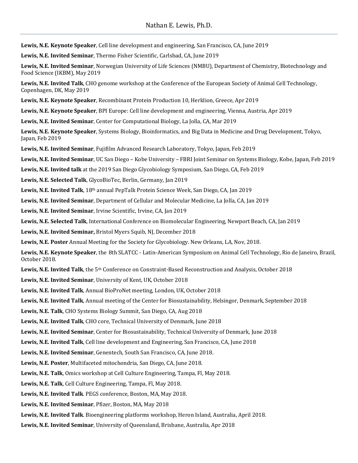**Lewis, N.E. Keynote Speaker**, Cell line development and engineering, San Francisco, CA, June 2019

**Lewis, N.E. Invited Seminar**, Thermo Fisher Scientific, Carlsbad, CA, June 2019

**Lewis, N.E. Invited Seminar**, Norwegian University of Life Sciences (NMBU), Department of Chemistry, Biotechnology and Food Science (IKBM), May 2019

**Lewis, N.E. Invited Talk**, CHO genome workshop at the Conference of the European Society of Animal Cell Technology, Copenhagen, DK, May 2019

**Lewis, N.E. Keynote Speaker**, Recombinant Protein Production 10, Herklion, Greece, Apr 2019

**Lewis, N.E. Keynote Speaker**, BPI Europe: Cell line development and engineering, Vienna, Austria, Apr 2019

**Lewis, N.E. Invited Seminar**, Center for Computational Biology, La Jolla, CA, Mar 2019

**Lewis, N.E. Keynote Speaker**, Systems Biology, Bioinformatics, and Big Data in Medicine and Drug Development, Tokyo, Japan, Feb 2019

**Lewis, N.E. Invited Seminar**, Fujifilm Advanced Research Laboratory, Tokyo, Japan, Feb 2019

**Lewis, N.E. Invited Seminar**, UC San Diego – Kobe University – FBRI Joint Seminar on Systems Biology, Kobe, Japan, Feb 2019

**Lewis, N.E. Invited talk** at the 2019 San Diego Glycobiology Symposium, San Diego, CA, Feb 2019

**Lewis, N.E. Selected Talk**, GlycoBioTec, Berlin, Germany, Jan 2019

**Lewis, N.E. Invited Talk**, 18th annual PepTalk Protein Science Week, San Diego, CA, Jan 2019

**Lewis, N.E. Invited Seminar**, Department of Cellular and Molecular Medicine, La Jolla, CA, Jan 2019

**Lewis, N.E. Invited Seminar**, Irvine Scientific, Irvine, CA, Jan 2019

**Lewis, N.E. Selected Talk**, International Conference on Biomolecular Engineering, Newport Beach, CA, Jan 2019

**Lewis, N.E. Invited Seminar,** Bristol Myers Squib, NJ, December 2018

**Lewis, N.E. Poster** Annual Meeting for the Society for Glycobiology. New Orleans, LA, Nov, 2018.

**Lewis, N.E. Keynote Speaker**, the 8th SLATCC - Latin-American Symposium on Animal Cell Technology, Rio de Janeiro, Brazil, October 2018.

Lewis, N.E. Invited Talk, the 5<sup>th</sup> Conference on Constraint-Based Reconstruction and Analysis, October 2018

**Lewis, N.E. Invited Seminar**, University of Kent, UK, October 2018

**Lewis, N.E. Invited Talk**, Annual BioProNet meeting, London, UK, October 2018

**Lewis, N.E. Invited Talk**, Annual meeting of the Center for Biosustainability, Helsingor, Denmark, September 2018

**Lewis, N.E. Talk**, CHO Systems Biology Summit, San Diego, CA, Aug 2018

**Lewis, N.E. Invited Talk**, CHO core, Technical University of Denmark, June 2018

**Lewis, N.E. Invited Seminar**, Center for Biosustainability, Technical University of Denmark, June 2018

**Lewis, N.E. Invited Talk**, Cell line development and Engineering, San Francisco, CA, June 2018

**Lewis, N.E. Invited Seminar**, Genentech, South San Francisco, CA, June 2018.

**Lewis, N.E. Poster**, Multifaceted mitochondria, San Diego, CA, June 2018.

**Lewis, N.E. Talk**, Omics workshop at Cell Culture Engineering, Tampa, Fl, May 2018.

**Lewis, N.E. Talk**, Cell Culture Engineering, Tampa, Fl, May 2018.

**Lewis, N.E. Invited Talk**. PEGS conference, Boston, MA, May 2018.

**Lewis, N.E. Invited Seminar**, Pfizer, Boston, MA, May 2018

**Lewis, N.E. Invited Talk**. Bioengineering platforms workshop, Heron Island, Australia, April 2018.

**Lewis, N.E. Invited Seminar**, University of Queensland, Brisbane, Australia, Apr 2018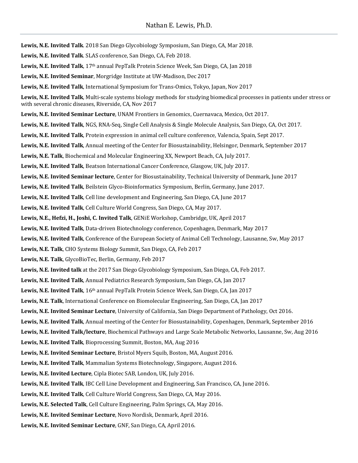**Lewis, N.E. Invited Talk**. 2018 San Diego Glycobiology Symposium, San Diego, CA, Mar 2018. **Lewis, N.E. Invited Talk**. SLAS conference, San Diego, CA, Feb 2018. **Lewis, N.E. Invited Talk**, 17th annual PepTalk Protein Science Week, San Diego, CA, Jan 2018 **Lewis, N.E. Invited Seminar**, Morgridge Institute at UW-Madison, Dec 2017 **Lewis, N.E. Invited Talk**, International Symposium for Trans-Omics, Tokyo, Japan, Nov 2017 **Lewis, N.E. Invited Talk**, Multi-scale systems biology methods for studying biomedical processes in patients under stress or with several chronic diseases, Riverside, CA, Nov 2017 **Lewis, N.E. Invited Seminar Lecture**, UNAM Frontiers in Genomics, Cuernavaca, Mexico, Oct 2017. **Lewis, N.E. Invited Talk**, NGS, RNA-Seq, Single Cell Analysis & Single Molecule Analysis, San Diego, CA, Oct 2017. **Lewis, N.E. Invited Talk**, Protein expression in animal cell culture conference, Valencia, Spain, Sept 2017. **Lewis, N.E. Invited Talk**, Annual meeting of the Center for Biosustainability, Helsingor, Denmark, September 2017 **Lewis, N.E. Talk**, Biochemical and Molecular Engineering XX, Newport Beach, CA, July 2017. **Lewis, N.E. Invited Talk**, Beatson International Cancer Conference, Glasgow, UK, July 2017. **Lewis, N.E. Invited Seminar lecture**, Center for Biosustainability, Technical University of Denmark, June 2017 **Lewis, N.E. Invited Talk**, Beilstein Glyco-Bioinformatics Symposium, Berlin, Germany, June 2017. **Lewis, N.E. Invited Talk**, Cell line development and Engineering, San Diego, CA, June 2017 **Lewis, N.E. Invited Talk**, Cell Culture World Congress, San Diego, CA, May 2017. **Lewis, N.E., Hefzi, H., Joshi, C. Invited Talk**, GENiE Workshop, Cambridge, UK, April 2017 **Lewis, N.E. Invited Talk**, Data-driven Biotechnology conference, Copenhagen, Denmark, May 2017 **Lewis, N.E. Invited Talk**, Conference of the European Society of Animal Cell Technology, Lausanne, Sw, May 2017 **Lewis, N.E. Talk**, CHO Systems Biology Summit, San Diego, CA, Feb 2017 **Lewis, N.E. Talk**, GlycoBioTec, Berlin, Germany, Feb 2017 **Lewis, N.E. Invited talk** at the 2017 San Diego Glycobiology Symposium, San Diego, CA, Feb 2017. **Lewis, N.E. Invited Talk**, Annual Pediatrics Research Symposium, San Diego, CA, Jan 2017 **Lewis, N.E. Invited Talk**, 16th annual PepTalk Protein Science Week, San Diego, CA, Jan 2017 **Lewis, N.E. Talk**, International Conference on Biomolecular Engineering, San Diego, CA, Jan 2017 **Lewis, N.E. Invited Seminar Lecture**, University of California, San Diego Department of Pathology, Oct 2016. **Lewis, N.E. Invited Talk**, Annual meeting of the Center for Biosustainability, Copenhagen, Denmark, September 2016 **Lewis, N.E. Invited Talk/lecture**, Biochemical Pathways and Large Scale Metabolic Networks, Lausanne, Sw, Aug 2016 **Lewis, N.E. Invited Talk**, Bioprocessing Summit, Boston, MA, Aug 2016 **Lewis, N.E. Invited Seminar Lecture**, Bristol Myers Squib, Boston, MA, August 2016. **Lewis, N.E. Invited Talk**, Mammalian Systems Biotechnology, Singapore, August 2016. **Lewis, N.E. Invited Lecture**, Cipla Biotec SAB, London, UK, July 2016. **Lewis, N.E. Invited Talk**, IBC Cell Line Development and Engineering, San Francisco, CA, June 2016. **Lewis, N.E. Invited Talk**, Cell Culture World Congress, San Diego, CA, May 2016. **Lewis, N.E. Selected Talk**, Cell Culture Engineering, Palm Springs, CA, May 2016. **Lewis, N.E. Invited Seminar Lecture**, Novo Nordisk, Denmark, April 2016. **Lewis, N.E. Invited Seminar Lecture**, GNF, San Diego, CA, April 2016.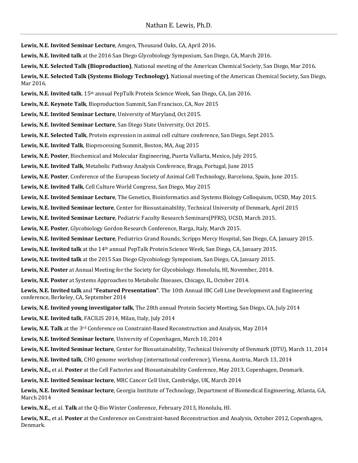**Lewis, N.E. Invited Seminar Lecture**, Amgen, Thousand Oaks, CA, April 2016.

**Lewis, N.E. Invited talk** at the 2016 San Diego Glycobiology Symposium, San Diego, CA, March 2016.

**Lewis, N.E. Selected Talk (Bioproduction)**, National meeting of the American Chemical Society, San Diego, Mar 2016.

**Lewis, N.E. Selected Talk (Systems Biology Technology)**, National meeting of the American Chemical Society, San Diego, Mar 2016.

**Lewis, N.E. Invited talk**. 15th annual PepTalk Protein Science Week, San Diego, CA, Jan 2016.

**Lewis, N.E. Keynote Talk**, Bioproduction Summit, San Francisco, CA, Nov 2015

**Lewis, N.E. Invited Seminar Lecture**, University of Maryland, Oct 2015.

**Lewis, N.E. Invited Seminar Lecture**, San Diego State University, Oct 2015.

**Lewis, N.E. Selected Talk**, Protein expression in animal cell culture conference, San Diego, Sept 2015.

**Lewis, N.E. Invited Talk**, Bioprocessing Summit, Boston, MA, Aug 2015

**Lewis, N.E. Poster**, Biochemical and Molecular Engineering, Puerta Vallarta, Mexico, July 2015.

**Lewis, N.E. Invited Talk**, Metabolic Pathway Analysis Conference, Braga, Portugal, June 2015

**Lewis, N.E. Poster**, Conference of the European Society of Animal Cell Technology, Barcelona, Spain, June 2015.

**Lewis, N.E. Invited Talk**, Cell Culture World Congress, San Diego, May 2015

**Lewis, N.E. Invited Seminar Lecture**, The Genetics, Bioinformatics and Systems Biology Colloquium, UCSD, May 2015.

**Lewis, N.E. Invited Seminar lecture**, Center for Biosustainability, Technical University of Denmark, April 2015

**Lewis, N.E. Invited Seminar Lecture**, Pediatric Faculty Research Seminars(PFRS), UCSD, March 2015.

**Lewis, N.E. Poster**, Glycobiology Gordon Research Conference, Barga, Italy, March 2015.

**Lewis, N.E. Invited Seminar Lecture**, Pediatrics Grand Rounds, Scripps Mercy Hospital, San Diego, CA, January 2015.

**Lewis, N.E. Invited talk** at the 14th annual PepTalk Protein Science Week, San Diego, CA, January 2015.

**Lewis, N.E. Invited talk** at the 2015 San Diego Glycobiology Symposium, San Diego, CA, January 2015.

**Lewis, N.E. Poster** at Annual Meeting for the Society for Glycobiology. Honolulu, HI, November, 2014.

**Lewis, N.E. Poster** at Systems Approaches to Metabolic Diseases, Chicago, IL, October 2014.

**Lewis, N.E. Invited talk** and **"Featured Presentation"**. The 10th Annual IBC Cell Line Development and Engineering conference, Berkeley, CA, September 2014

**Lewis, N.E. Invited young investigator talk**, The 28th annual Protein Society Meeting, San Diego, CA, July 2014

**Lewis, N.E. Invited talk**, FACILIS 2014, Milan, Italy, July 2014

**Lewis, N.E. Talk** at the 3rd Conference on Constraint-Based Reconstruction and Analysis, May 2014

**Lewis, N.E. Invited Seminar lecture**, University of Copenhagen, March 10, 2014

**Lewis, N.E. Invited Seminar lecture**, Center for Biosustainability, Technical University of Denmark (DTU), March 11, 2014

**Lewis, N.E. Invited talk**, CHO genome workshop (international conference), Vienna, Austria, March 13, 2014

**Lewis, N.E.,** et al. **Poster** at the Cell Factories and Biosustainability Conference, May 2013, Copenhagen, Denmark.

**Lewis, N.E. Invited Seminar lecture**, MRC Cancer Cell Unit, Cambridge, UK, March 2014

**Lewis, N.E. Invited Seminar lecture**, Georgia Institute of Technology, Department of Biomedical Engineering, Atlanta, GA, March 2014

**Lewis, N.E.,** et al. **Talk** at the Q-Bio Winter Conference, February 2013, Honolulu, HI.

**Lewis, N.E.,** et al. **Poster** at the Conference on Constraint-based Reconstruction and Analysis, October 2012, Copenhagen, Denmark.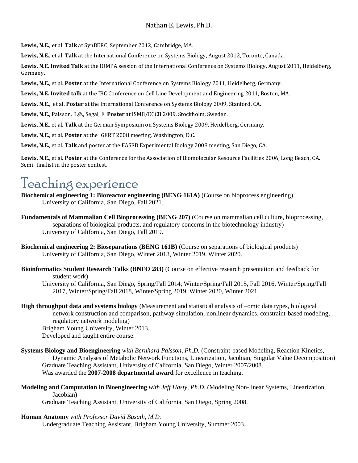**Lewis, N.E.,** et al. **Talk** at SynBERC, September 2012, Cambridge, MA.

**Lewis, N.E.,** et al. **Talk** at the International Conference on Systems Biology, August 2012, Toronto, Canada.

**Lewis, N.E. Invited Talk** at the IOMPA session of the International Conference on Systems Biology, August 2011, Heidelberg, Germany.

**Lewis, N.E.**, et al. **Poster** at the International Conference on Systems Biology 2011, Heidelberg, Germany.

**Lewis, N.E. Invited talk** at the IBC Conference on Cell Line Development and Engineering 2011, Boston, MA.

**Lewis, N.E.**, et al. **Poster** at the International Conference on Systems Biology 2009, Stanford, CA.

**Lewis, N.E.**, Palsson, B.Ø., Segal, E. **Poster** at ISMB/ECCB 2009, Stockholm, Sweden.

**Lewis, N.E.**, et al. **Talk** at the German Symposium on Systems Biology 2009, Heidelberg, Germany.

**Lewis, N.E.**, et al. **Poster** at the IGERT 2008 meeting, Washington, D.C.

**Lewis, N.E.**, et al. **Talk** and poster at the FASEB Experimental Biology 2008 meeting, San Diego, CA.

**Lewis, N.E.**, et al. **Poster** at the Conference for the Association of Biomolecular Resource Facilities 2006, Long Beach, CA. Semi−finalist in the poster contest.

### Teaching experience

- **Biochemical engineering 1: Bioreactor engineering (BENG 161A)** (Course on bioprocess engineering) University of California, San Diego, Fall 2021.
- **Fundamentals of Mammalian Cell Bioprocessing (BENG 207)** (Course on mammalian cell culture, bioprocessing, separations of biological products, and regulatory concerns in the biotechnology industry) University of California, San Diego, Fall 2019.
- **Biochemical engineering 2: Bioseparations (BENG 161B)** (Course on separations of biological products) University of California, San Diego, Winter 2018, Winter 2019, Winter 2020.
- **Bioinformatics Student Research Talks (BNFO 283)** (Course on effective research presentation and feedback for student work)

University of California, San Diego, Spring/Fall 2014, Winter/Spring/Fall 2015, Fall 2016, Winter/Spring/Fall 2017, Winter/Spring/Fall 2018, Winter/Spring 2019, Winter 2020, Winter 2021.

**High throughput data and systems biology** (Measurement and statistical analysis of –omic data types, biological network construction and comparison, pathway simulation, nonlinear dynamics, constraint-based modeling, regulatory network modeling)

Brigham Young University, Winter 2013.

Developed and taught entire course.

- **Systems Biology and Bioengineering** *with Bernhard Palsson, Ph.D.* (Constraint-based Modeling, Reaction Kinetics, Dynamic Analyses of Metabolic Network Functions, Linearization, Jacobian, Singular Value Decomposition) Graduate Teaching Assistant, University of California, San Diego, Winter 2007/2008. Was awarded the **2007-2008 departmental award** for excellence in teaching.
- **Modeling and Computation in Bioengineering** *with Jeff Hasty, Ph.D.* (Modeling Non-linear Systems, Linearization, Jacobian)

Graduate Teaching Assistant, University of California, San Diego, Spring 2008.

**Human Anatomy** *with Professor David Busath, M.D.*

Undergraduate Teaching Assistant, Brigham Young University, Summer 2003.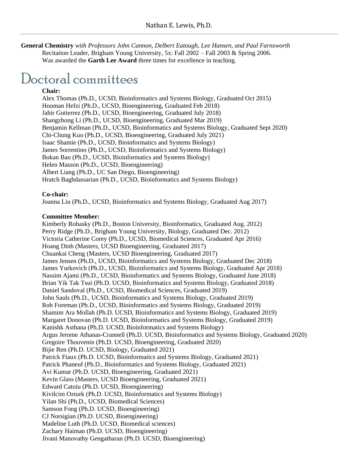**General Chemistry** *with Professors John Cannon, Delbert Eatough, Lee Hansen, and Paul Farnsworth* Recitation Leader, Brigham Young University, 5x: Fall 2002 – Fall 2003 & Spring 2006. Was awarded the **Garth Lee Award** three times for excellence in teaching.

### Doctoral committees

#### **Chair:**

Alex Thomas (Ph.D., UCSD, Bioinformatics and Systems Biology, Graduated Oct 2015) Hooman Hefzi (Ph.D., UCSD, Bioengineering, Graduated Feb 2018) Jahir Gutierrez (Ph.D., UCSD, Bioengineering, Graduated July 2018) Shangzhong Li (Ph.D., UCSD, Bioengineering, Graduated Mar 2019) Benjamin Kellman (Ph.D., UCSD, Bioinformatics and Systems Biology, Graduated Sept 2020) Chi-Chung Kuo (Ph.D., UCSD, Bioengineering, Graduated July 2021) Isaac Shamie (Ph.D., UCSD, Bioinformatics and Systems Biology) James Sorrentino (Ph.D., UCSD, Bioinformatics and Systems Biology) Bokan Bao (Ph.D., UCSD, Bioinformatics and Systems Biology) Helen Masson (Ph.D., UCSD, Bioengineering) Albert Liang (Ph.D., UC San Diego, Bioengineering) Hratch Baghdassarian (Ph.D., UCSD, Bioinformatics and Systems Biology)

#### **Co-chair:**

Joanna Liu (Ph.D., UCSD, Bioinformatics and Systems Biology, Graduated Aug 2017)

#### **Committee Member:**

Kimberly Robasky (Ph.D., Boston University, Bioinformatics, Graduated Aug. 2012) Perry Ridge (Ph.D., Brigham Young University, Biology, Graduated Dec. 2012) Victoria Catherine Corey (Ph.D., UCSD, Biomedical Sciences, Graduated Apr 2016) Hoang Dinh (Masters, UCSD Bioengineering, Graduated 2017) Chuankai Cheng (Masters, UCSD Bioengineering, Graduated 2017) James Jensen (Ph.D., UCSD, Bioinformatics and Systems Biology, Graduated Dec 2018) James Yurkovich (Ph.D., UCSD, Bioinformatics and Systems Biology, Graduated Apr 2018) Nassim Ajami (Ph.D., UCSD, Bioinformatics and Systems Biology, Graduated June 2018) Brian Yik Tak Tsui (Ph.D. UCSD, Bioinformatics and Systems Biology, Graduated 2018) Daniel Sandoval (Ph.D., UCSD, Biomedical Sciences, Graduated 2019) John Sauls (Ph.D., UCSD, Bioinformatics and Systems Biology, Graduated 2019) Rob Foreman (Ph.D., UCSD, Bioinformatics and Systems Biology, Graduated 2019) Shamim Ara Mollah (Ph.D. UCSD, Bioinformatics and Systems Biology, Graduated 2019) Margaret Donovan (Ph.D. UCSD, Bioinformatics and Systems Biology, Graduated 2019) Kanishk Asthana (Ph.D. UCSD, Bioinformatics and Systems Biology) Argus Jerome Athanas-Crannell (Ph.D. UCSD, Bioinformatics and Systems Biology, Graduated 2020) Gregoire Thouvenin (Ph.D. UCSD, Bioengineering, Graduated 2020) Bijie Ren (Ph.D. UCSD, Biology, Graduated 2021) Patrick Fiaux (Ph.D. UCSD, Bioinformatics and Systems Biology, Graduated 2021) Patrick Phaneuf (Ph.D., Bioinformatics and Systems Biology, Graduated 2021) Avi Kumar (Ph.D. UCSD, Bioengineering, Graduated 2021) Kevin Glass (Masters, UCSD Bioengineering, Graduated 2021) Edward Catoiu (Ph.D. UCSD, Bioengineering) Kivilcim Ozturk (Ph.D. UCSD, Bioinformatics and Systems Biology) Yilan Shi (Ph.D., UCSD, Biomedical Sciences) Samson Fong (Ph.D. UCSD, Bioengineering) CJ Norsigian (Ph.D. UCSD, Bioengineering) Madeline Luth (Ph.D. UCSD, Biomedical sciences) Zachary Haiman (Ph.D. UCSD, Bioengineering) Jivani Manovathy Gengatharan (Ph.D. UCSD, Bioengineering)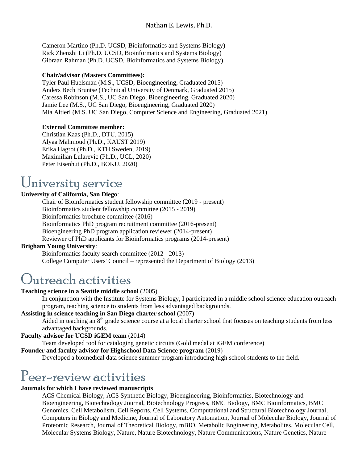Cameron Martino (Ph.D. UCSD, Bioinformatics and Systems Biology) Rick Zhenzhi Li (Ph.D. UCSD, Bioinformatics and Systems Biology) Gibraan Rahman (Ph.D. UCSD, Bioinformatics and Systems Biology)

#### **Chair/advisor (Masters Committees):**

Tyler Paul Huelsman (M.S., UCSD, Bioengineering, Graduated 2015) Anders Bech Bruntse (Technical University of Denmark, Graduated 2015) Caressa Robinson (M.S., UC San Diego, Bioengineering, Graduated 2020) Jamie Lee (M.S., UC San Diego, Bioengineering, Graduated 2020) Mia Altieri (M.S. UC San Diego, Computer Science and Engineering, Graduated 2021)

#### **External Committee member:**

Christian Kaas (Ph.D., DTU, 2015) Alyaa Mahmoud (Ph.D., KAUST 2019) Erika Hagrot (Ph.D., KTH Sweden, 2019) Maximilian Lularevic (Ph.D., UCL, 2020) Peter Eisenhut (Ph.D., BOKU, 2020)

### University service

#### **University of California, San Diego**:

Chair of Bioinformatics student fellowship committee (2019 - present) Bioinformatics student fellowship committee (2015 - 2019) Bioinformatics brochure committee (2016) Bioinformatics PhD program recruitment committee (2016-present) Bioengineering PhD program application reviewer (2014-present) Reviewer of PhD applicants for Bioinformatics programs (2014-present)

#### **Brigham Young University**:

Bioinformatics faculty search committee (2012 - 2013) College Computer Users' Council – represented the Department of Biology (2013)

### Outreach activities

#### **Teaching science in a Seattle middle school** (2005)

In conjunction with the Institute for Systems Biology, I participated in a middle school science education outreach program, teaching science to students from less advantaged backgrounds.

#### **Assisting in science teaching in San Diego charter school** (2007)

Aided in teaching an 8<sup>th</sup> grade science course at a local charter school that focuses on teaching students from less advantaged backgrounds.

#### **Faculty advisor for UCSD iGEM team** (2014)

Team developed tool for cataloging genetic circuits (Gold medal at iGEM conference)

#### **Founder and faculty advisor for Highschool Data Science program** (2019)

Developed a biomedical data science summer program introducing high school students to the field.

### Peer-review activities

#### **Journals for which I have reviewed manuscripts**

ACS Chemical Biology, ACS Synthetic Biology, Bioengineering, Bioinformatics, Biotechnology and Bioengineering, Biotechnology Journal, Biotechnology Progress, BMC Biology, BMC Bioinformatics, BMC Genomics, Cell Metabolism, Cell Reports, Cell Systems, Computational and Structural Biotechnology Journal, Computers in Biology and Medicine, Journal of Laboratory Automation, Journal of Molecular Biology, Journal of Proteomic Research, Journal of Theoretical Biology, mBIO, Metabolic Engineering, Metabolites, Molecular Cell, Molecular Systems Biology, Nature, Nature Biotechnology, Nature Communications, Nature Genetics, Nature